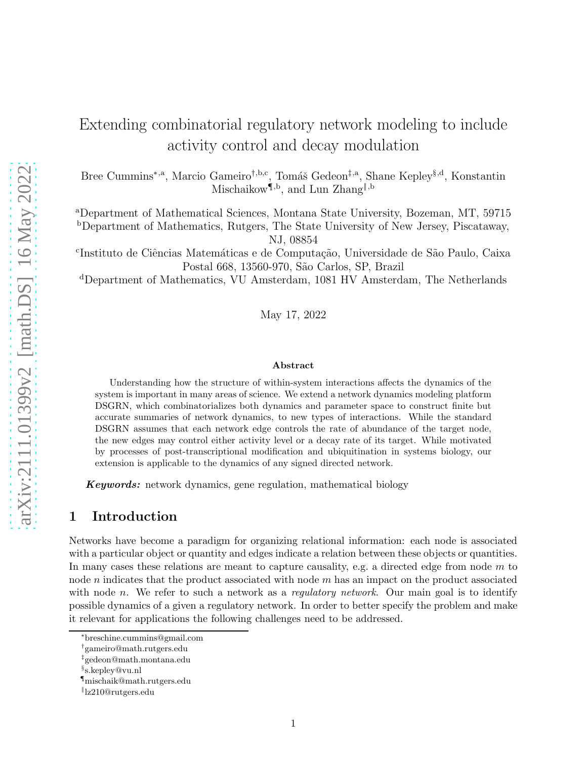# Extending combinatorial regulatory network modeling to include activity control and decay modulation

Bree Cummins<sup>∗,a</sup>, Marcio Gameiro<sup>†,b,c</sup>, Tomáš Gedeon<sup>‡,a</sup>, Shane Kepley<sup>§,d</sup>, Konstantin Mischaikow<sup>1,b</sup>, and Lun Zhang<sup>||,b</sup>

<sup>a</sup>Department of Mathematical Sciences, Montana State University, Bozeman, MT, 59715 <sup>b</sup>Department of Mathematics, Rutgers, The State University of New Jersey, Piscataway, NJ, 08854

<sup>c</sup>Instituto de Ciências Matemáticas e de Computação, Universidade de São Paulo, Caixa Postal 668, 13560-970, São Carlos, SP, Brazil

<sup>d</sup>Department of Mathematics, VU Amsterdam, 1081 HV Amsterdam, The Netherlands

May 17, 2022

#### Abstract

Understanding how the structure of within-system interactions affects the dynamics of the system is important in many areas of science. We extend a network dynamics modeling platform DSGRN, which combinatorializes both dynamics and parameter space to construct finite but accurate summaries of network dynamics, to new types of interactions. While the standard DSGRN assumes that each network edge controls the rate of abundance of the target node, the new edges may control either activity level or a decay rate of its target. While motivated by processes of post-transcriptional modification and ubiquitination in systems biology, our extension is applicable to the dynamics of any signed directed network.

Keywords: network dynamics, gene regulation, mathematical biology

### <span id="page-0-0"></span>1 Introduction

Networks have become a paradigm for organizing relational information: each node is associated with a particular object or quantity and edges indicate a relation between these objects or quantities. In many cases these relations are meant to capture causality, e.g. a directed edge from node  $m$  to node *n* indicates that the product associated with node *m* has an impact on the product associated with node n. We refer to such a network as a regulatory network. Our main goal is to identify possible dynamics of a given a regulatory network. In order to better specify the problem and make it relevant for applications the following challenges need to be addressed.

<sup>∗</sup> breschine.cummins@gmail.com

<sup>†</sup> gameiro@math.rutgers.edu

<sup>‡</sup> gedeon@math.montana.edu

<sup>§</sup> s.kepley@vu.nl

<sup>¶</sup>mischaik@math.rutgers.edu

<sup>‖</sup> lz210@rutgers.edu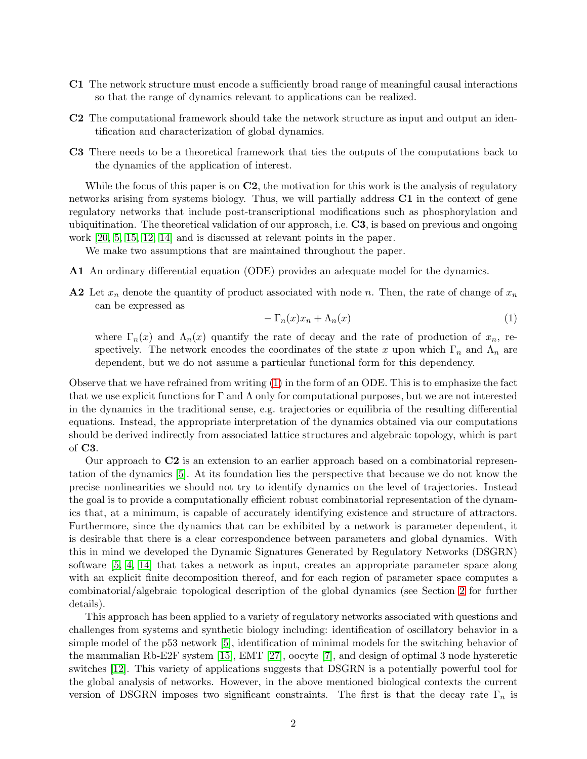- C1 The network structure must encode a sufficiently broad range of meaningful causal interactions so that the range of dynamics relevant to applications can be realized.
- C2 The computational framework should take the network structure as input and output an identification and characterization of global dynamics.
- C3 There needs to be a theoretical framework that ties the outputs of the computations back to the dynamics of the application of interest.

While the focus of this paper is on  $C2$ , the motivation for this work is the analysis of regulatory networks arising from systems biology. Thus, we will partially address C1 in the context of gene regulatory networks that include post-transcriptional modifications such as phosphorylation and ubiquitination. The theoretical validation of our approach, i.e. C3, is based on previous and ongoing work [\[20,](#page-28-0) [5,](#page-28-1) [15,](#page-28-2) [12,](#page-28-3) [14\]](#page-28-4) and is discussed at relevant points in the paper.

We make two assumptions that are maintained throughout the paper.

- A1 An ordinary differential equation (ODE) provides an adequate model for the dynamics.
- A2 Let  $x_n$  denote the quantity of product associated with node n. Then, the rate of change of  $x_n$ can be expressed as

<span id="page-1-0"></span>
$$
-\Gamma_n(x)x_n + \Lambda_n(x) \tag{1}
$$

where  $\Gamma_n(x)$  and  $\Lambda_n(x)$  quantify the rate of decay and the rate of production of  $x_n$ , respectively. The network encodes the coordinates of the state x upon which  $\Gamma_n$  and  $\Lambda_n$  are dependent, but we do not assume a particular functional form for this dependency.

Observe that we have refrained from writing [\(1\)](#page-1-0) in the form of an ODE. This is to emphasize the fact that we use explicit functions for  $\Gamma$  and  $\Lambda$  only for computational purposes, but we are not interested in the dynamics in the traditional sense, e.g. trajectories or equilibria of the resulting differential equations. Instead, the appropriate interpretation of the dynamics obtained via our computations should be derived indirectly from associated lattice structures and algebraic topology, which is part of C3.

Our approach to C2 is an extension to an earlier approach based on a combinatorial representation of the dynamics [\[5\]](#page-28-1). At its foundation lies the perspective that because we do not know the precise nonlinearities we should not try to identify dynamics on the level of trajectories. Instead the goal is to provide a computationally efficient robust combinatorial representation of the dynamics that, at a minimum, is capable of accurately identifying existence and structure of attractors. Furthermore, since the dynamics that can be exhibited by a network is parameter dependent, it is desirable that there is a clear correspondence between parameters and global dynamics. With this in mind we developed the Dynamic Signatures Generated by Regulatory Networks (DSGRN) software [\[5,](#page-28-1) [4,](#page-27-0) [14\]](#page-28-4) that takes a network as input, creates an appropriate parameter space along with an explicit finite decomposition thereof, and for each region of parameter space computes a combinatorial/algebraic topological description of the global dynamics (see Section [2](#page-3-0) for further details).

This approach has been applied to a variety of regulatory networks associated with questions and challenges from systems and synthetic biology including: identification of oscillatory behavior in a simple model of the p53 network [\[5\]](#page-28-1), identification of minimal models for the switching behavior of the mammalian Rb-E2F system [\[15\]](#page-28-2), EMT [\[27\]](#page-29-0), oocyte [\[7\]](#page-28-5), and design of optimal 3 node hysteretic switches [\[12\]](#page-28-3). This variety of applications suggests that DSGRN is a potentially powerful tool for the global analysis of networks. However, in the above mentioned biological contexts the current version of DSGRN imposes two significant constraints. The first is that the decay rate  $\Gamma_n$  is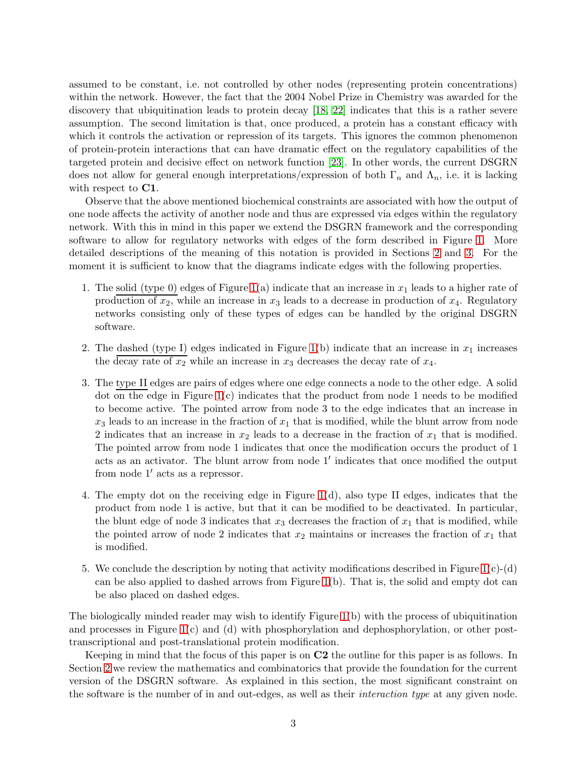assumed to be constant, i.e. not controlled by other nodes (representing protein concentrations) within the network. However, the fact that the 2004 Nobel Prize in Chemistry was awarded for the discovery that ubiquitination leads to protein decay [\[18,](#page-28-6) [22\]](#page-29-1) indicates that this is a rather severe assumption. The second limitation is that, once produced, a protein has a constant efficacy with which it controls the activation or repression of its targets. This ignores the common phenomenon of protein-protein interactions that can have dramatic effect on the regulatory capabilities of the targeted protein and decisive effect on network function [\[23\]](#page-29-2). In other words, the current DSGRN does not allow for general enough interpretations/expression of both  $\Gamma_n$  and  $\Lambda_n$ , i.e. it is lacking with respect to  $C1$ .

Observe that the above mentioned biochemical constraints are associated with how the output of one node affects the activity of another node and thus are expressed via edges within the regulatory network. With this in mind in this paper we extend the DSGRN framework and the corresponding software to allow for regulatory networks with edges of the form described in Figure [1.](#page-3-1) More detailed descriptions of the meaning of this notation is provided in Sections [2](#page-3-0) and [3.](#page-8-0) For the moment it is sufficient to know that the diagrams indicate edges with the following properties.

- 1. The solid (type 0) edges of Figure [1\(](#page-3-1)a) indicate that an increase in  $x_1$  leads to a higher rate of production of  $x_2$ , while an increase in  $x_3$  leads to a decrease in production of  $x_4$ . Regulatory networks consisting only of these types of edges can be handled by the original DSGRN software.
- 2. The dashed (type I) edges indicated in Figure [1\(](#page-3-1)b) indicate that an increase in  $x_1$  increases the decay rate of  $x_2$  while an increase in  $x_3$  decreases the decay rate of  $x_4$ .
- 3. The type II edges are pairs of edges where one edge connects a node to the other edge. A solid dot on the edge in Figure [1\(](#page-3-1)c) indicates that the product from node 1 needs to be modified to become active. The pointed arrow from node 3 to the edge indicates that an increase in  $x_3$  leads to an increase in the fraction of  $x_1$  that is modified, while the blunt arrow from node 2 indicates that an increase in  $x_2$  leads to a decrease in the fraction of  $x_1$  that is modified. The pointed arrow from node 1 indicates that once the modification occurs the product of 1 acts as an activator. The blunt arrow from node 1′ indicates that once modified the output from node 1′ acts as a repressor.
- 4. The empty dot on the receiving edge in Figure [1\(](#page-3-1)d), also type II edges, indicates that the product from node 1 is active, but that it can be modified to be deactivated. In particular, the blunt edge of node 3 indicates that  $x_3$  decreases the fraction of  $x_1$  that is modified, while the pointed arrow of node 2 indicates that  $x_2$  maintains or increases the fraction of  $x_1$  that is modified.
- 5. We conclude the description by noting that activity modifications described in Figure  $1(c)$ -(d) can be also applied to dashed arrows from Figure [1\(](#page-3-1)b). That is, the solid and empty dot can be also placed on dashed edges.

The biologically minded reader may wish to identify Figure [1\(](#page-3-1)b) with the process of ubiquitination and processes in Figure [1\(](#page-3-1)c) and (d) with phosphorylation and dephosphorylation, or other posttranscriptional and post-translational protein modification.

Keeping in mind that the focus of this paper is on C2 the outline for this paper is as follows. In Section [2](#page-3-0) we review the mathematics and combinatorics that provide the foundation for the current version of the DSGRN software. As explained in this section, the most significant constraint on the software is the number of in and out-edges, as well as their interaction type at any given node.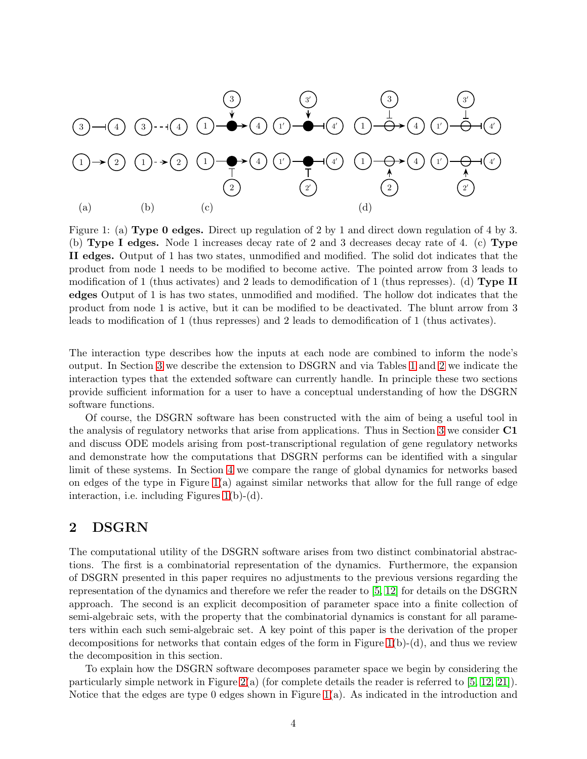

<span id="page-3-1"></span>Figure 1: (a) Type 0 edges. Direct up regulation of 2 by 1 and direct down regulation of 4 by 3. (b) Type I edges. Node 1 increases decay rate of 2 and 3 decreases decay rate of 4. (c) Type II edges. Output of 1 has two states, unmodified and modified. The solid dot indicates that the product from node 1 needs to be modified to become active. The pointed arrow from 3 leads to modification of 1 (thus activates) and 2 leads to demodification of 1 (thus represses). (d) Type II edges Output of 1 is has two states, unmodified and modified. The hollow dot indicates that the product from node 1 is active, but it can be modified to be deactivated. The blunt arrow from 3 leads to modification of 1 (thus represses) and 2 leads to demodification of 1 (thus activates).

The interaction type describes how the inputs at each node are combined to inform the node's output. In Section [3](#page-8-0) we describe the extension to DSGRN and via Tables [1](#page-14-0) and [2](#page-19-0) we indicate the interaction types that the extended software can currently handle. In principle these two sections provide sufficient information for a user to have a conceptual understanding of how the DSGRN software functions.

Of course, the DSGRN software has been constructed with the aim of being a useful tool in the analysis of regulatory networks that arise from applications. Thus in Section [3](#page-8-0) we consider C1 and discuss ODE models arising from post-transcriptional regulation of gene regulatory networks and demonstrate how the computations that DSGRN performs can be identified with a singular limit of these systems. In Section [4](#page-19-1) we compare the range of global dynamics for networks based on edges of the type in Figure [1\(](#page-3-1)a) against similar networks that allow for the full range of edge interaction, i.e. including Figures [1\(](#page-3-1)b)-(d).

# <span id="page-3-0"></span>2 DSGRN

The computational utility of the DSGRN software arises from two distinct combinatorial abstractions. The first is a combinatorial representation of the dynamics. Furthermore, the expansion of DSGRN presented in this paper requires no adjustments to the previous versions regarding the representation of the dynamics and therefore we refer the reader to [\[5,](#page-28-1) [12\]](#page-28-3) for details on the DSGRN approach. The second is an explicit decomposition of parameter space into a finite collection of semi-algebraic sets, with the property that the combinatorial dynamics is constant for all parameters within each such semi-algebraic set. A key point of this paper is the derivation of the proper decompositions for networks that contain edges of the form in Figure  $1(b)-(d)$ , and thus we review the decomposition in this section.

To explain how the DSGRN software decomposes parameter space we begin by considering the particularly simple network in Figure [2\(](#page-4-0)a) (for complete details the reader is referred to [\[5,](#page-28-1) [12,](#page-28-3) [21\]](#page-29-3)). Notice that the edges are type 0 edges shown in Figure  $1(a)$ . As indicated in the introduction and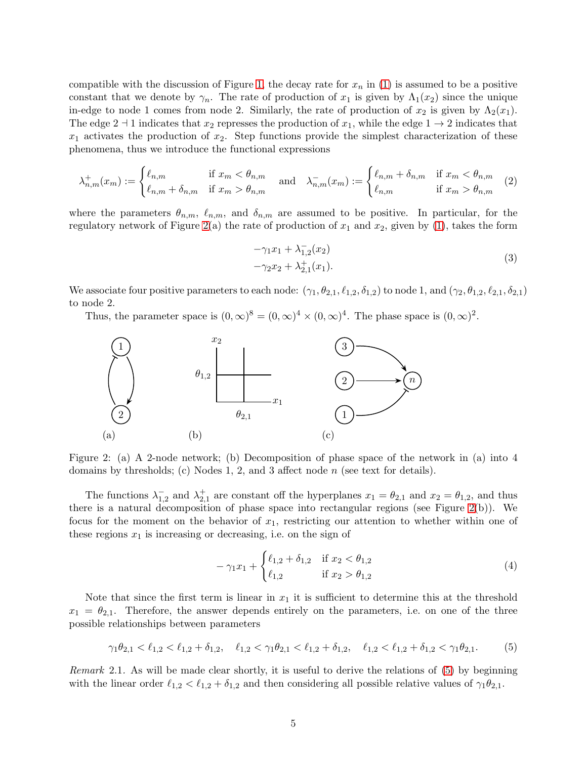compatible with the discussion of Figure [1,](#page-3-1) the decay rate for  $x_n$  in [\(1\)](#page-1-0) is assumed to be a positive constant that we denote by  $\gamma_n$ . The rate of production of  $x_1$  is given by  $\Lambda_1(x_2)$  since the unique in-edge to node 1 comes from node 2. Similarly, the rate of production of  $x_2$  is given by  $\Lambda_2(x_1)$ . The edge 2  $\pm$  1 indicates that  $x_2$  represses the production of  $x_1$ , while the edge 1  $\rightarrow$  2 indicates that  $x_1$  activates the production of  $x_2$ . Step functions provide the simplest characterization of these phenomena, thus we introduce the functional expressions

<span id="page-4-4"></span>
$$
\lambda_{n,m}^+(x_m) := \begin{cases} \ell_{n,m} & \text{if } x_m < \theta_{n,m} \\ \ell_{n,m} + \delta_{n,m} & \text{if } x_m > \theta_{n,m} \end{cases} \quad \text{and} \quad \lambda_{n,m}^-(x_m) := \begin{cases} \ell_{n,m} + \delta_{n,m} & \text{if } x_m < \theta_{n,m} \\ \ell_{n,m} & \text{if } x_m > \theta_{n,m} \end{cases} \tag{2}
$$

where the parameters  $\theta_{n,m}$ ,  $\ell_{n,m}$ , and  $\delta_{n,m}$  are assumed to be positive. In particular, for the regulatory network of Figure [2\(](#page-4-0)a) the rate of production of  $x_1$  and  $x_2$ , given by [\(1\)](#page-1-0), takes the form

<span id="page-4-5"></span>
$$
-\gamma_1 x_1 + \lambda_{1,2}^{-}(x_2)
$$
  

$$
-\gamma_2 x_2 + \lambda_{2,1}^{+}(x_1).
$$
 (3)

We associate four positive parameters to each node:  $(\gamma_1, \theta_{2,1}, \ell_{1,2}, \delta_{1,2})$  to node 1, and  $(\gamma_2, \theta_{1,2}, \ell_{2,1}, \delta_{2,1})$ to node 2.

Thus, the parameter space is  $(0, \infty)^8 = (0, \infty)^4 \times (0, \infty)^4$ . The phase space is  $(0, \infty)^2$ .



<span id="page-4-0"></span>Figure 2: (a) A 2-node network; (b) Decomposition of phase space of the network in (a) into 4 domains by thresholds; (c) Nodes 1, 2, and 3 affect node  $n$  (see text for details).

The functions  $\lambda_1^ _{1,2}^-$  and  $\lambda_{2,1}^+$  are constant off the hyperplanes  $x_1 = \theta_{2,1}$  and  $x_2 = \theta_{1,2}$ , and thus there is a natural decomposition of phase space into rectangular regions (see Figure [2\(](#page-4-0)b)). We focus for the moment on the behavior of  $x_1$ , restricting our attention to whether within one of these regions  $x_1$  is increasing or decreasing, i.e. on the sign of

<span id="page-4-3"></span>
$$
-\gamma_1 x_1 + \begin{cases} \ell_{1,2} + \delta_{1,2} & \text{if } x_2 < \theta_{1,2} \\ \ell_{1,2} & \text{if } x_2 > \theta_{1,2} \end{cases}
$$
 (4)

Note that since the first term is linear in  $x_1$  it is sufficient to determine this at the threshold  $x_1 = \theta_{2,1}$ . Therefore, the answer depends entirely on the parameters, i.e. on one of the three possible relationships between parameters

<span id="page-4-1"></span>
$$
\gamma_1 \theta_{2,1} < \ell_{1,2} < \ell_{1,2} + \delta_{1,2}, \quad \ell_{1,2} < \gamma_1 \theta_{2,1} < \ell_{1,2} + \delta_{1,2}, \quad \ell_{1,2} < \ell_{1,2} + \delta_{1,2} < \gamma_1 \theta_{2,1}.\tag{5}
$$

<span id="page-4-2"></span>Remark 2.1. As will be made clear shortly, it is useful to derive the relations of [\(5\)](#page-4-1) by beginning with the linear order  $\ell_{1,2} < \ell_{1,2} + \delta_{1,2}$  and then considering all possible relative values of  $\gamma_1 \theta_{2,1}$ .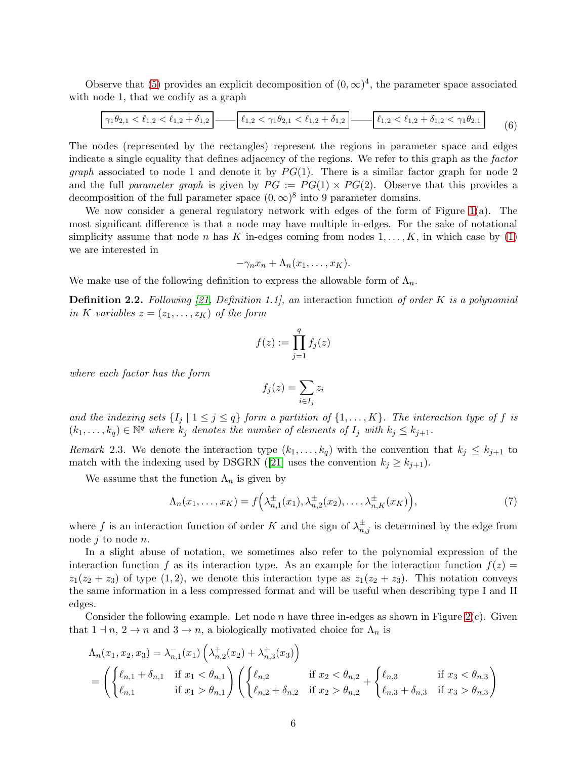Observe that [\(5\)](#page-4-1) provides an explicit decomposition of  $(0, \infty)^4$ , the parameter space associated with node 1, that we codify as a graph

$$
\boxed{\gamma_1 \theta_{2,1} < \ell_{1,2} < \ell_{1,2} + \delta_{1,2}} \boxed{\ell_{1,2} < \gamma_1 \theta_{2,1} < \ell_{1,2} + \delta_{1,2}} \boxed{\ell_{1,2} < \ell_{1,2} + \delta_{1,2} < \gamma_1 \theta_{2,1}} \tag{6}
$$

The nodes (represented by the rectangles) represent the regions in parameter space and edges indicate a single equality that defines adjacency of the regions. We refer to this graph as the factor *graph* associated to node 1 and denote it by  $PG(1)$ . There is a similar factor graph for node 2 and the full parameter graph is given by  $PG := PG(1) \times PG(2)$ . Observe that this provides a decomposition of the full parameter space  $(0, \infty)^8$  into 9 parameter domains.

We now consider a general regulatory network with edges of the form of Figure [1\(](#page-3-1)a). The most significant difference is that a node may have multiple in-edges. For the sake of notational simplicity assume that node n has K in-edges coming from nodes  $1, \ldots, K$ , in which case by [\(1\)](#page-1-0) we are interested in

$$
-\gamma_n x_n + \Lambda_n(x_1,\ldots,x_K).
$$

We make use of the following definition to express the allowable form of  $\Lambda_n$ .

<span id="page-5-0"></span>**Definition 2.2.** Following [\[21,](#page-29-3) Definition 1.1], an interaction function of order K is a polynomial in K variables  $z = (z_1, \ldots, z_K)$  of the form

$$
f(z) := \prod_{j=1}^{q} f_j(z)
$$

where each factor has the form

$$
f_j(z) = \sum_{i \in I_j} z_i
$$

and the indexing sets  $\{I_j \mid 1 \leq j \leq q\}$  form a partition of  $\{1,\ldots,K\}$ . The interaction type of f is  $(k_1,\ldots,k_q) \in \mathbb{N}^q$  where  $k_j$  denotes the number of elements of  $I_j$  with  $k_j \leq k_{j+1}$ .

Remark 2.3. We denote the interaction type  $(k_1, \ldots, k_q)$  with the convention that  $k_j \leq k_{j+1}$  to matchwith the indexing used by DSGRN ([\[21\]](#page-29-3) uses the convention  $k_j \geq k_{j+1}$ ).

We assume that the function  $\Lambda_n$  is given by

<span id="page-5-1"></span>
$$
\Lambda_n(x_1,\ldots,x_K) = f\left(\lambda_{n,1}^\pm(x_1),\lambda_{n,2}^\pm(x_2),\ldots,\lambda_{n,K}^\pm(x_K)\right),\tag{7}
$$

where f is an interaction function of order K and the sign of  $\lambda_{n,j}^{\pm}$  is determined by the edge from node  $j$  to node  $n$ .

In a slight abuse of notation, we sometimes also refer to the polynomial expression of the interaction function f as its interaction type. As an example for the interaction function  $f(z)$  $z_1(z_2 + z_3)$  of type (1, 2), we denote this interaction type as  $z_1(z_2 + z_3)$ . This notation conveys the same information in a less compressed format and will be useful when describing type I and II edges.

Consider the following example. Let node n have three in-edges as shown in Figure [2\(](#page-4-0)c). Given that  $1 \dashv n$ ,  $2 \to n$  and  $3 \to n$ , a biologically motivated choice for  $\Lambda_n$  is

$$
\Lambda_n(x_1, x_2, x_3) = \lambda_{n,1}^-(x_1) \left( \lambda_{n,2}^+(x_2) + \lambda_{n,3}^+(x_3) \right)
$$
  
=  $\left( \begin{cases} \ell_{n,1} + \delta_{n,1} & \text{if } x_1 < \theta_{n,1} \\ \ell_{n,1} & \text{if } x_1 > \theta_{n,1} \end{cases} \right) \left( \begin{cases} \ell_{n,2} & \text{if } x_2 < \theta_{n,2} \\ \ell_{n,2} + \delta_{n,2} & \text{if } x_2 > \theta_{n,2} \end{cases} + \begin{cases} \ell_{n,3} & \text{if } x_3 < \theta_{n,3} \\ \ell_{n,3} + \delta_{n,3} & \text{if } x_3 > \theta_{n,3} \end{cases} \right)$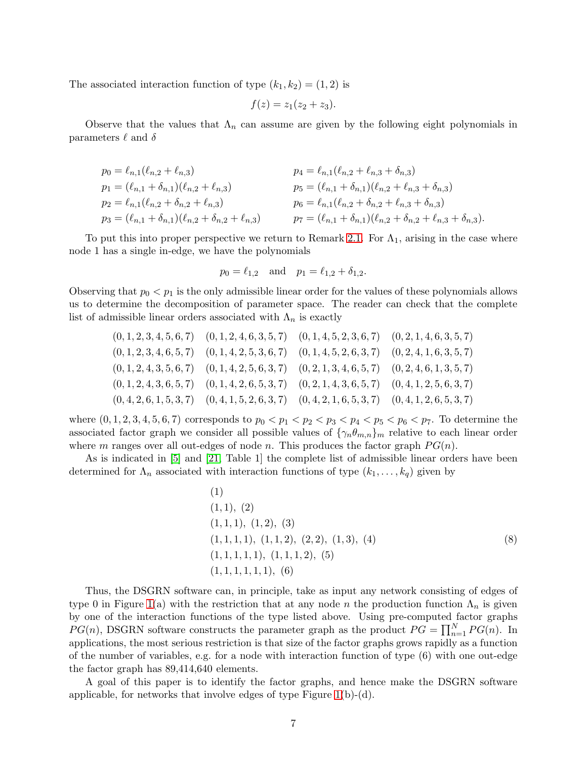The associated interaction function of type  $(k_1, k_2) = (1, 2)$  is

$$
f(z) = z_1(z_2 + z_3).
$$

Observe that the values that  $\Lambda_n$  can assume are given by the following eight polynomials in parameters  $\ell$  and  $\delta$ 

$$
p_0 = \ell_{n,1}(\ell_{n,2} + \ell_{n,3})
$$
  
\n
$$
p_1 = (\ell_{n,1} + \delta_{n,1})(\ell_{n,2} + \ell_{n,3})
$$
  
\n
$$
p_2 = \ell_{n,1}(\ell_{n,2} + \delta_{n,2} + \ell_{n,3})
$$
  
\n
$$
p_3 = (\ell_{n,1} + \delta_{n,1})(\ell_{n,2} + \delta_{n,2} + \ell_{n,3})
$$
  
\n
$$
p_4 = \ell_{n,1}(\ell_{n,2} + \ell_{n,3} + \delta_{n,3})
$$
  
\n
$$
p_5 = (\ell_{n,1} + \delta_{n,1})(\ell_{n,2} + \ell_{n,3} + \delta_{n,3})
$$
  
\n
$$
p_6 = \ell_{n,1}(\ell_{n,2} + \delta_{n,2} + \ell_{n,3} + \delta_{n,3})
$$
  
\n
$$
p_7 = (\ell_{n,1} + \delta_{n,1})(\ell_{n,2} + \delta_{n,2} + \ell_{n,3} + \delta_{n,3}).
$$

To put this into proper perspective we return to Remark [2.1.](#page-4-2) For  $\Lambda_1$ , arising in the case where node 1 has a single in-edge, we have the polynomials

$$
p_0 = \ell_{1,2}
$$
 and  $p_1 = \ell_{1,2} + \delta_{1,2}$ .

Observing that  $p_0 < p_1$  is the only admissible linear order for the values of these polynomials allows us to determine the decomposition of parameter space. The reader can check that the complete list of admissible linear orders associated with  $\Lambda_n$  is exactly

$$
(0, 1, 2, 3, 4, 5, 6, 7) \quad (0, 1, 2, 4, 6, 3, 5, 7) \quad (0, 1, 4, 5, 2, 3, 6, 7) \quad (0, 2, 1, 4, 6, 3, 5, 7)
$$
  

$$
(0, 1, 2, 3, 4, 6, 5, 7) \quad (0, 1, 4, 2, 5, 3, 6, 7) \quad (0, 1, 4, 5, 2, 6, 3, 7) \quad (0, 2, 4, 1, 6, 3, 5, 7)
$$
  

$$
(0, 1, 2, 4, 3, 5, 6, 7) \quad (0, 1, 4, 2, 5, 6, 3, 7) \quad (0, 2, 1, 3, 4, 6, 5, 7) \quad (0, 2, 4, 6, 1, 3, 5, 7)
$$
  

$$
(0, 1, 2, 4, 3, 6, 5, 7) \quad (0, 1, 4, 2, 6, 5, 3, 7) \quad (0, 2, 1, 4, 3, 6, 5, 7) \quad (0, 4, 1, 2, 5, 6, 3, 7)
$$
  

$$
(0, 4, 2, 6, 1, 5, 3, 7) \quad (0, 4, 1, 5, 2, 6, 3, 7) \quad (0, 4, 2, 1, 6, 5, 3, 7) \quad (0, 4, 1, 2, 6, 5, 3, 7)
$$

where  $(0, 1, 2, 3, 4, 5, 6, 7)$  corresponds to  $p_0 < p_1 < p_2 < p_3 < p_4 < p_5 < p_6 < p_7$ . To determine the associated factor graph we consider all possible values of  $\{\gamma_n\theta_{m,n}\}_m$  relative to each linear order where m ranges over all out-edges of node n. This produces the factor graph  $PG(n)$ .

As is indicated in [\[5\]](#page-28-1) and [\[21,](#page-29-3) Table 1] the complete list of admissible linear orders have been determined for  $\Lambda_n$  associated with interaction functions of type  $(k_1, \ldots, k_q)$  given by

<span id="page-6-0"></span>(1) (1, 1), (2) (1, 1, 1), (1, 2), (3) (1, 1, 1, 1), (1, 1, 2), (2, 2), (1, 3), (4) (8) (1, 1, 1, 1, 1), (1, 1, 1, 2), (5) (1, 1, 1, 1, 1, 1), (6)

Thus, the DSGRN software can, in principle, take as input any network consisting of edges of type 0 in Figure [1\(](#page-3-1)a) with the restriction that at any node n the production function  $\Lambda_n$  is given by one of the interaction functions of the type listed above. Using pre-computed factor graphs  $PG(n)$ , DSGRN software constructs the parameter graph as the product  $PG = \prod_{n=1}^{N} PG(n)$ . In applications, the most serious restriction is that size of the factor graphs grows rapidly as a function of the number of variables, e.g. for a node with interaction function of type (6) with one out-edge the factor graph has 89,414,640 elements.

A goal of this paper is to identify the factor graphs, and hence make the DSGRN software applicable, for networks that involve edges of type Figure [1\(](#page-3-1)b)-(d).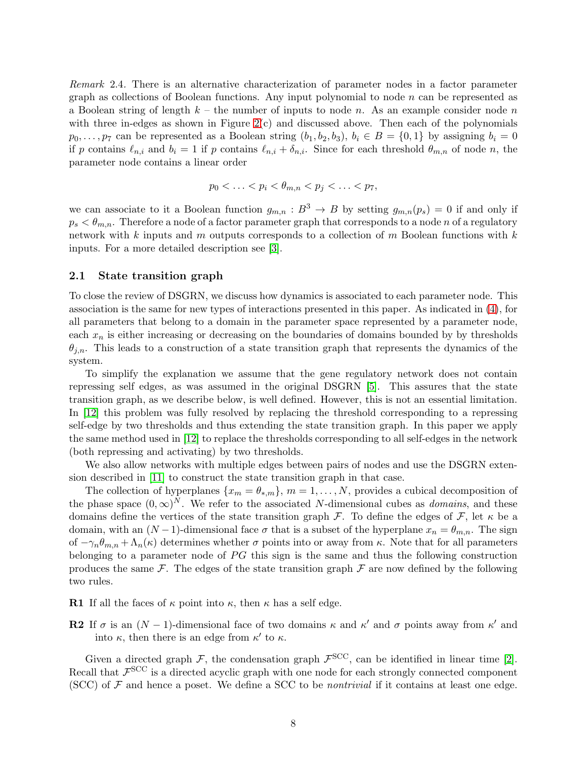Remark 2.4. There is an alternative characterization of parameter nodes in a factor parameter graph as collections of Boolean functions. Any input polynomial to node  $n$  can be represented as a Boolean string of length  $k$  – the number of inputs to node n. As an example consider node n with three in-edges as shown in Figure  $2(c)$  and discussed above. Then each of the polynomials  $p_0, \ldots, p_7$  can be represented as a Boolean string  $(b_1, b_2, b_3), b_i \in B = \{0, 1\}$  by assigning  $b_i = 0$ if p contains  $\ell_{n,i}$  and  $b_i = 1$  if p contains  $\ell_{n,i} + \delta_{n,i}$ . Since for each threshold  $\theta_{m,n}$  of node n, the parameter node contains a linear order

$$
p_0 < \ldots < p_i < \theta_{m,n} < p_j < \ldots < p_7,
$$

we can associate to it a Boolean function  $g_{m,n} : B^3 \to B$  by setting  $g_{m,n}(p_s) = 0$  if and only if  $p_s < \theta_{m,n}$ . Therefore a node of a factor parameter graph that corresponds to a node n of a regulatory network with k inputs and m outputs corresponds to a collection of m Boolean functions with  $k$ inputs. For a more detailed description see [\[3\]](#page-27-1).

### 2.1 State transition graph

To close the review of DSGRN, we discuss how dynamics is associated to each parameter node. This association is the same for new types of interactions presented in this paper. As indicated in [\(4\)](#page-4-3), for all parameters that belong to a domain in the parameter space represented by a parameter node, each  $x_n$  is either increasing or decreasing on the boundaries of domains bounded by by thresholds  $\theta_{j,n}$ . This leads to a construction of a state transition graph that represents the dynamics of the system.

To simplify the explanation we assume that the gene regulatory network does not contain repressing self edges, as was assumed in the original DSGRN [\[5\]](#page-28-1). This assures that the state transition graph, as we describe below, is well defined. However, this is not an essential limitation. In [\[12\]](#page-28-3) this problem was fully resolved by replacing the threshold corresponding to a repressing self-edge by two thresholds and thus extending the state transition graph. In this paper we apply the same method used in [\[12\]](#page-28-3) to replace the thresholds corresponding to all self-edges in the network (both repressing and activating) by two thresholds.

We also allow networks with multiple edges between pairs of nodes and use the DSGRN extension described in [\[11\]](#page-28-7) to construct the state transition graph in that case.

The collection of hyperplanes  $\{x_m = \theta_{*,m}\}, m = 1, \ldots, N$ , provides a cubical decomposition of the phase space  $(0, \infty)^N$ . We refer to the associated N-dimensional cubes as *domains*, and these domains define the vertices of the state transition graph  $\mathcal F$ . To define the edges of  $\mathcal F$ , let  $\kappa$  be a domain, with an  $(N-1)$ -dimensional face  $\sigma$  that is a subset of the hyperplane  $x_n = \theta_{m,n}$ . The sign of  $-\gamma_n\theta_{m,n} + \Lambda_n(\kappa)$  determines whether  $\sigma$  points into or away from  $\kappa$ . Note that for all parameters belonging to a parameter node of  $PG$  this sign is the same and thus the following construction produces the same  $\mathcal F$ . The edges of the state transition graph  $\mathcal F$  are now defined by the following two rules.

**R1** If all the faces of  $\kappa$  point into  $\kappa$ , then  $\kappa$  has a self edge.

**R2** If  $\sigma$  is an  $(N-1)$ -dimensional face of two domains  $\kappa$  and  $\kappa'$  and  $\sigma$  points away from  $\kappa'$  and into  $\kappa$ , then there is an edge from  $\kappa'$  to  $\kappa$ .

Given a directed graph  $\mathcal{F}$ , the condensation graph  $\mathcal{F}^{\text{SCC}}$ , can be identified in linear time [\[2\]](#page-27-2). Recall that  $\mathcal{F}^{\text{SCC}}$  is a directed acyclic graph with one node for each strongly connected component (SCC) of  $\mathcal F$  and hence a poset. We define a SCC to be *nontrivial* if it contains at least one edge.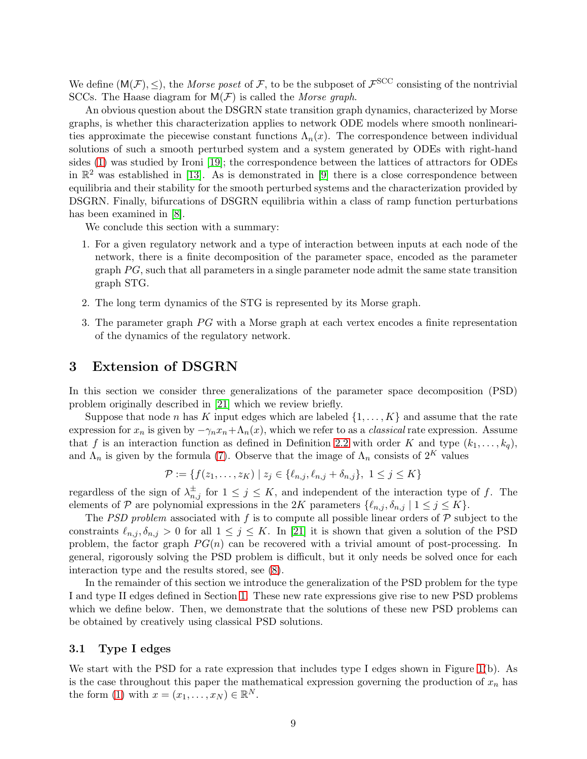We define  $(M(\mathcal{F}), \leq)$ , the *Morse poset* of  $\mathcal{F}$ , to be the subposet of  $\mathcal{F}^{\text{SCC}}$  consisting of the nontrivial SCCs. The Haase diagram for  $M(F)$  is called the *Morse graph*.

An obvious question about the DSGRN state transition graph dynamics, characterized by Morse graphs, is whether this characterization applies to network ODE models where smooth nonlinearities approximate the piecewise constant functions  $\Lambda_n(x)$ . The correspondence between individual solutions of such a smooth perturbed system and a system generated by ODEs with right-hand sides [\(1\)](#page-1-0) was studied by Ironi [\[19\]](#page-28-8); the correspondence between the lattices of attractors for ODEs in  $\mathbb{R}^2$  was established in [\[13\]](#page-28-9). As is demonstrated in [\[9\]](#page-28-10) there is a close correspondence between equilibria and their stability for the smooth perturbed systems and the characterization provided by DSGRN. Finally, bifurcations of DSGRN equilibria within a class of ramp function perturbations has been examined in [\[8\]](#page-28-11).

We conclude this section with a summary:

- 1. For a given regulatory network and a type of interaction between inputs at each node of the network, there is a finite decomposition of the parameter space, encoded as the parameter graph  $PG$ , such that all parameters in a single parameter node admit the same state transition graph STG.
- 2. The long term dynamics of the STG is represented by its Morse graph.
- 3. The parameter graph  $PG$  with a Morse graph at each vertex encodes a finite representation of the dynamics of the regulatory network.

### <span id="page-8-0"></span>3 Extension of DSGRN

In this section we consider three generalizations of the parameter space decomposition (PSD) problem originally described in [\[21\]](#page-29-3) which we review briefly.

Suppose that node n has K input edges which are labeled  $\{1, \ldots, K\}$  and assume that the rate expression for  $x_n$  is given by  $-\gamma_n x_n + \Lambda_n(x)$ , which we refer to as a *classical* rate expression. Assume that f is an interaction function as defined in Definition [2.2](#page-5-0) with order K and type  $(k_1, \ldots, k_q)$ , and  $\Lambda_n$  is given by the formula [\(7\)](#page-5-1). Observe that the image of  $\Lambda_n$  consists of 2<sup>K</sup> values

$$
\mathcal{P} := \{ f(z_1, \dots, z_K) \mid z_j \in \{\ell_{n,j}, \ell_{n,j} + \delta_{n,j}\}, \ 1 \le j \le K \}
$$

regardless of the sign of  $\lambda_{n,j}^{\pm}$  for  $1 \leq j \leq K$ , and independent of the interaction type of f. The elements of P are polynomial expressions in the 2K parameters  $\{\ell_{n,j}, \delta_{n,j} \mid 1 \leq j \leq K\}$ .

The PSD problem associated with f is to compute all possible linear orders of  $P$  subject to the constraints  $\ell_{n,j}, \delta_{n,j} > 0$  for all  $1 \leq j \leq K$ . In [\[21\]](#page-29-3) it is shown that given a solution of the PSD problem, the factor graph  $PG(n)$  can be recovered with a trivial amount of post-processing. In general, rigorously solving the PSD problem is difficult, but it only needs be solved once for each interaction type and the results stored, see [\(8\)](#page-6-0).

In the remainder of this section we introduce the generalization of the PSD problem for the type I and type II edges defined in Section [1.](#page-0-0) These new rate expressions give rise to new PSD problems which we define below. Then, we demonstrate that the solutions of these new PSD problems can be obtained by creatively using classical PSD solutions.

### 3.1 Type I edges

We start with the PSD for a rate expression that includes type I edges shown in Figure [1\(](#page-3-1)b). As is the case throughout this paper the mathematical expression governing the production of  $x_n$  has the form [\(1\)](#page-1-0) with  $x = (x_1, \ldots, x_N) \in \mathbb{R}^N$ .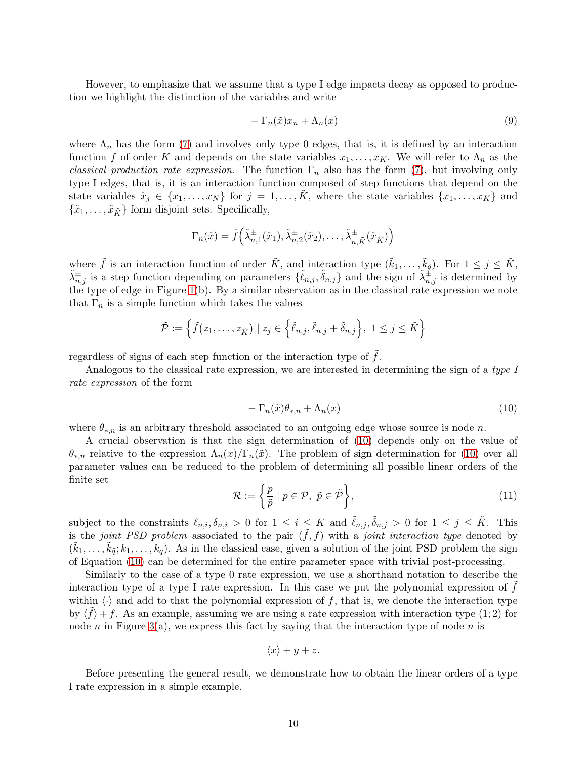However, to emphasize that we assume that a type I edge impacts decay as opposed to production we highlight the distinction of the variables and write

$$
-\Gamma_n(\tilde{x})x_n + \Lambda_n(x) \tag{9}
$$

where  $\Lambda_n$  has the form [\(7\)](#page-5-1) and involves only type 0 edges, that is, it is defined by an interaction function f of order K and depends on the state variables  $x_1, \ldots, x_K$ . We will refer to  $\Lambda_n$  as the classical production rate expression. The function  $\Gamma_n$  also has the form [\(7\)](#page-5-1), but involving only type I edges, that is, it is an interaction function composed of step functions that depend on the state variables  $\tilde{x}_j \in \{x_1, \ldots, x_N\}$  for  $j = 1, \ldots, \tilde{K}$ , where the state variables  $\{x_1, \ldots, x_K\}$  and  $\{\tilde{x}_1, \ldots, \tilde{x}_{\tilde{K}}\}$  form disjoint sets. Specifically,

$$
\Gamma_n(\tilde{x}) = \tilde{f}\left(\tilde{\lambda}_{n,1}^{\pm}(\tilde{x}_1), \tilde{\lambda}_{n,2}^{\pm}(\tilde{x}_2), \dots, \tilde{\lambda}_{n,\tilde{K}}^{\pm}(\tilde{x}_{\tilde{K}})\right)
$$

where  $\tilde{f}$  is an interaction function of order  $\tilde{K}$ , and interaction type  $(\tilde{k}_1, \ldots, \tilde{k}_{\tilde{q}})$ . For  $1 \leq j \leq \tilde{K}$ ,  $\tilde{\lambda}_{n,j}^{\pm}$  is a step function depending on parameters  $\{\tilde{\ell}_{n,j}, \tilde{\delta}_{n,j}\}\$  and the sign of  $\tilde{\lambda}_{n,j}^{\pm}$  is determined by the type of edge in Figure [1\(](#page-3-1)b). By a similar observation as in the classical rate expression we note that  $\Gamma_n$  is a simple function which takes the values

$$
\tilde{\mathcal{P}} := \left\{ \tilde{f}(z_1, \ldots, z_{\tilde{K}}) \mid z_j \in \left\{ \tilde{\ell}_{n,j}, \tilde{\ell}_{n,j} + \tilde{\delta}_{n,j} \right\}, \ 1 \leq j \leq \tilde{K} \right\}
$$

regardless of signs of each step function or the interaction type of  $\tilde{f}$ .

Analogous to the classical rate expression, we are interested in determining the sign of a type I rate expression of the form

<span id="page-9-0"></span>
$$
-\Gamma_n(\tilde{x})\theta_{*,n} + \Lambda_n(x) \tag{10}
$$

where  $\theta_{*,n}$  is an arbitrary threshold associated to an outgoing edge whose source is node n.

A crucial observation is that the sign determination of [\(10\)](#page-9-0) depends only on the value of  $\theta_{*,n}$  relative to the expression  $\Lambda_n(x)/\Gamma_n(\tilde{x})$ . The problem of sign determination for [\(10\)](#page-9-0) over all parameter values can be reduced to the problem of determining all possible linear orders of the finite set

$$
\mathcal{R} := \left\{ \frac{p}{\tilde{p}} \mid p \in \mathcal{P}, \ \tilde{p} \in \tilde{\mathcal{P}} \right\},\tag{11}
$$

subject to the constraints  $\ell_{n,i}, \delta_{n,i} > 0$  for  $1 \leq i \leq K$  and  $\tilde{\ell}_{n,j}, \tilde{\delta}_{n,j} > 0$  for  $1 \leq j \leq \tilde{K}$ . This is the joint PSD problem associated to the pair  $(\tilde{f}, f)$  with a joint interaction type denoted by  $(\tilde{k}_1,\ldots,\tilde{k}_{\tilde{q}}; k_1,\ldots,k_q)$ . As in the classical case, given a solution of the joint PSD problem the sign of Equation [\(10\)](#page-9-0) can be determined for the entire parameter space with trivial post-processing.

Similarly to the case of a type 0 rate expression, we use a shorthand notation to describe the interaction type of a type I rate expression. In this case we put the polynomial expression of  $f$ within  $\langle \cdot \rangle$  and add to that the polynomial expression of f, that is, we denote the interaction type by  $\langle \tilde{f} \rangle + f$ . As an example, assuming we are using a rate expression with interaction type  $(1, 2)$  for node n in Figure [3\(](#page-17-0)a), we express this fact by saying that the interaction type of node n is

$$
\langle x \rangle + y + z.
$$

Before presenting the general result, we demonstrate how to obtain the linear orders of a type I rate expression in a simple example.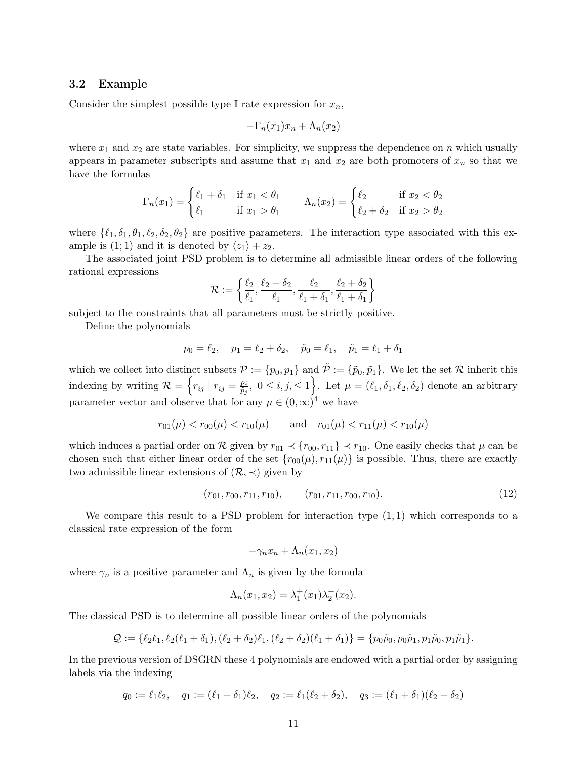### 3.2 Example

Consider the simplest possible type I rate expression for  $x_n$ ,

$$
-\Gamma_n(x_1)x_n + \Lambda_n(x_2)
$$

where  $x_1$  and  $x_2$  are state variables. For simplicity, we suppress the dependence on n which usually appears in parameter subscripts and assume that  $x_1$  and  $x_2$  are both promoters of  $x_n$  so that we have the formulas

$$
\Gamma_n(x_1) = \begin{cases} \ell_1 + \delta_1 & \text{if } x_1 < \theta_1 \\ \ell_1 & \text{if } x_1 > \theta_1 \end{cases} \qquad \Lambda_n(x_2) = \begin{cases} \ell_2 & \text{if } x_2 < \theta_2 \\ \ell_2 + \delta_2 & \text{if } x_2 > \theta_2 \end{cases}
$$

where  $\{\ell_1, \delta_1, \theta_1, \ell_2, \delta_2, \theta_2\}$  are positive parameters. The interaction type associated with this example is (1; 1) and it is denoted by  $\langle z_1 \rangle + z_2$ .

The associated joint PSD problem is to determine all admissible linear orders of the following rational expressions

$$
\mathcal{R} := \left\{ \frac{\ell_2}{\ell_1}, \frac{\ell_2 + \delta_2}{\ell_1}, \frac{\ell_2}{\ell_1 + \delta_1}, \frac{\ell_2 + \delta_2}{\ell_1 + \delta_1} \right\}
$$

subject to the constraints that all parameters must be strictly positive.

Define the polynomials

$$
p_0 = \ell_2
$$
,  $p_1 = \ell_2 + \delta_2$ ,  $\tilde{p}_0 = \ell_1$ ,  $\tilde{p}_1 = \ell_1 + \delta_1$ 

which we collect into distinct subsets  $\mathcal{P} := \{p_0, p_1\}$  and  $\tilde{\mathcal{P}} := \{\tilde{p}_0, \tilde{p}_1\}$ . We let the set  $\mathcal{R}$  inherit this indexing by writing  $\mathcal{R} = \left\{ r_{ij} \mid r_{ij} = \frac{p_i}{\tilde{p}_i} \right\}$  $\frac{p_i}{\tilde{p}_j}, \ 0 \leq i, j, \leq 1$ . Let  $\mu = (\ell_1, \delta_1, \ell_2, \delta_2)$  denote an arbitrary parameter vector and observe that for any  $\mu \in (0,\infty)^4$  we have

$$
r_{01}(\mu) < r_{00}(\mu) < r_{10}(\mu)
$$
 and  $r_{01}(\mu) < r_{11}(\mu) < r_{10}(\mu)$ 

which induces a partial order on R given by  $r_{01} \prec \{r_{00}, r_{11}\} \prec r_{10}$ . One easily checks that  $\mu$  can be chosen such that either linear order of the set  $\{r_{00}(\mu), r_{11}(\mu)\}\$  is possible. Thus, there are exactly two admissible linear extensions of  $(\mathcal{R}, \prec)$  given by

$$
(r_{01}, r_{00}, r_{11}, r_{10}), \t (r_{01}, r_{11}, r_{00}, r_{10}). \t (12)
$$

We compare this result to a PSD problem for interaction type  $(1, 1)$  which corresponds to a classical rate expression of the form

$$
-\gamma_n x_n + \Lambda_n(x_1, x_2)
$$

where  $\gamma_n$  is a positive parameter and  $\Lambda_n$  is given by the formula

$$
\Lambda_n(x_1, x_2) = \lambda_1^+(x_1)\lambda_2^+(x_2).
$$

The classical PSD is to determine all possible linear orders of the polynomials

$$
Q := \{ \ell_2 \ell_1, \ell_2(\ell_1 + \delta_1), (\ell_2 + \delta_2)\ell_1, (\ell_2 + \delta_2)(\ell_1 + \delta_1) \} = \{ p_0\tilde{p}_0, p_0\tilde{p}_1, p_1\tilde{p}_0, p_1\tilde{p}_1 \}.
$$

In the previous version of DSGRN these 4 polynomials are endowed with a partial order by assigning labels via the indexing

$$
q_0 := \ell_1 \ell_2, \quad q_1 := (\ell_1 + \delta_1)\ell_2, \quad q_2 := \ell_1(\ell_2 + \delta_2), \quad q_3 := (\ell_1 + \delta_1)(\ell_2 + \delta_2)
$$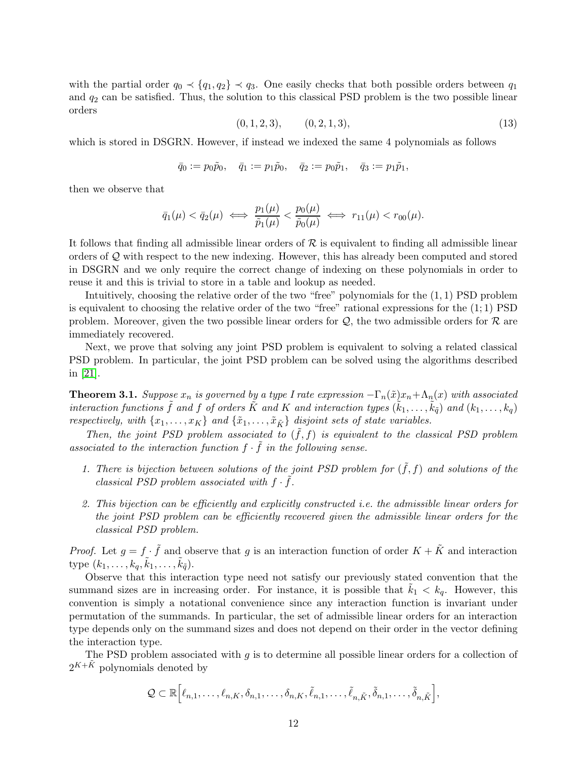with the partial order  $q_0 \prec \{q_1, q_2\} \prec q_3$ . One easily checks that both possible orders between  $q_1$ and  $q_2$  can be satisfied. Thus, the solution to this classical PSD problem is the two possible linear orders

$$
(0, 1, 2, 3), \qquad (0, 2, 1, 3), \tag{13}
$$

which is stored in DSGRN. However, if instead we indexed the same 4 polynomials as follows

$$
\bar{q}_0 := p_0 \tilde{p}_0, \quad \bar{q}_1 := p_1 \tilde{p}_0, \quad \bar{q}_2 := p_0 \tilde{p}_1, \quad \bar{q}_3 := p_1 \tilde{p}_1,
$$

then we observe that

$$
\bar{q}_1(\mu) < \bar{q}_2(\mu) \iff \frac{p_1(\mu)}{\tilde{p}_1(\mu)} < \frac{p_0(\mu)}{\tilde{p}_0(\mu)} \iff r_{11}(\mu) < r_{00}(\mu).
$$

It follows that finding all admissible linear orders of  $R$  is equivalent to finding all admissible linear orders of Q with respect to the new indexing. However, this has already been computed and stored in DSGRN and we only require the correct change of indexing on these polynomials in order to reuse it and this is trivial to store in a table and lookup as needed.

Intuitively, choosing the relative order of the two "free" polynomials for the (1, 1) PSD problem is equivalent to choosing the relative order of the two "free" rational expressions for the  $(1; 1)$  PSD problem. Moreover, given the two possible linear orders for  $\mathcal{Q}$ , the two admissible orders for  $\mathcal{R}$  are immediately recovered.

Next, we prove that solving any joint PSD problem is equivalent to solving a related classical PSD problem. In particular, the joint PSD problem can be solved using the algorithms described in [\[21\]](#page-29-3).

<span id="page-11-0"></span>**Theorem 3.1.** Suppose  $x_n$  is governed by a type I rate expression  $-\Gamma_n(\tilde{x})x_n + \Lambda_n(x)$  with associated interaction functions  $\tilde{f}$  and f of orders  $\tilde{K}$  and  $K$  and interaction types  $(\tilde{k}_1,\ldots,\tilde{k}_{\tilde{q}})$  and  $(k_1,\ldots,k_q)$ respectively, with  $\{x_1, \ldots, x_K\}$  and  $\{\tilde{x}_1, \ldots, \tilde{x}_{\tilde{K}}\}$  disjoint sets of state variables.

Then, the joint PSD problem associated to  $(\tilde{f}, f)$  is equivalent to the classical PSD problem associated to the interaction function  $f \cdot \tilde{f}$  in the following sense.

- 1. There is bijection between solutions of the joint PSD problem for  $(\tilde{f}, f)$  and solutions of the classical PSD problem associated with  $f \cdot \tilde{f}$ .
- 2. This bijection can be efficiently and explicitly constructed i.e. the admissible linear orders for the joint PSD problem can be efficiently recovered given the admissible linear orders for the classical PSD problem.

*Proof.* Let  $g = f \cdot \tilde{f}$  and observe that g is an interaction function of order  $K + \tilde{K}$  and interaction type  $(k_1, \ldots, k_q, \tilde{k}_1, \ldots, \tilde{k}_{\tilde{q}})$ .

Observe that this interaction type need not satisfy our previously stated convention that the summand sizes are in increasing order. For instance, it is possible that  $k_1 < k_q$ . However, this convention is simply a notational convenience since any interaction function is invariant under permutation of the summands. In particular, the set of admissible linear orders for an interaction type depends only on the summand sizes and does not depend on their order in the vector defining the interaction type.

The PSD problem associated with  $q$  is to determine all possible linear orders for a collection of  $2^{K+\tilde{K}}$  polynomials denoted by

$$
\mathcal{Q} \subset \mathbb{R} \Big[ \ell_{n,1}, \ldots, \ell_{n,K}, \delta_{n,1}, \ldots, \delta_{n,K}, \tilde{\ell}_{n,1}, \ldots, \tilde{\ell}_{n,\tilde{K}}, \tilde{\delta}_{n,1}, \ldots, \tilde{\delta}_{n,\tilde{K}} \Big],
$$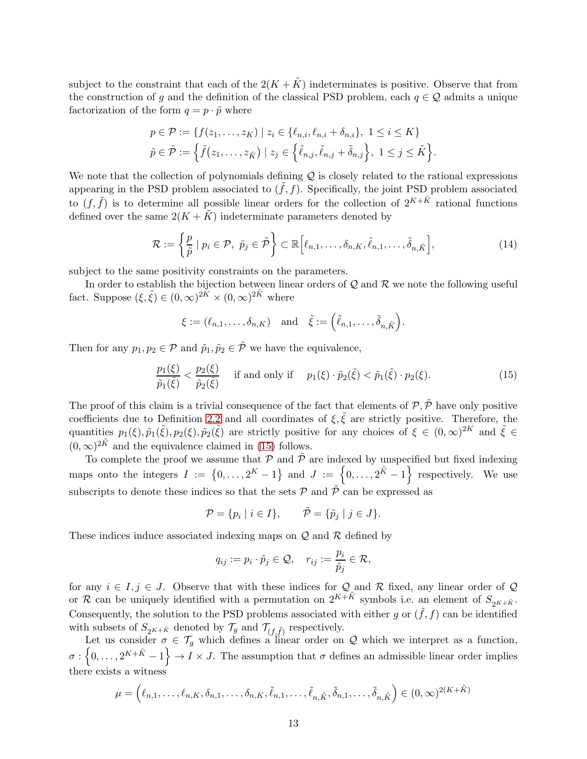subject to the constraint that each of the  $2(K + \tilde{K})$  indeterminates is positive. Observe that from the construction of q and the definition of the classical PSD problem, each  $q \in \mathcal{Q}$  admits a unique factorization of the form  $q = p \cdot \tilde{p}$  where

$$
p \in \mathcal{P} := \{ f(z_1, ..., z_K) \mid z_i \in \{\ell_{n,i}, \ell_{n,i} + \delta_{n,i}\}, \ 1 \le i \le K \}
$$
  

$$
\tilde{p} \in \tilde{\mathcal{P}} := \left\{ \tilde{f}(z_1, ..., z_{\tilde{K}}) \mid z_j \in \left\{ \tilde{\ell}_{n,j}, \tilde{\ell}_{n,j} + \tilde{\delta}_{n,j} \right\}, \ 1 \le j \le \tilde{K} \right\}.
$$

We note that the collection of polynomials defining  $\mathcal Q$  is closely related to the rational expressions appearing in the PSD problem associated to  $(\tilde{f}, f)$ . Specifically, the joint PSD problem associated to  $(f, \tilde{f})$  is to determine all possible linear orders for the collection of  $2^{K+\tilde{K}}$  rational functions defined over the same  $2(K + \tilde{K})$  indeterminate parameters denoted by

$$
\mathcal{R} := \left\{ \frac{p}{\tilde{p}} \mid p_i \in \mathcal{P}, \ \tilde{p}_j \in \tilde{\mathcal{P}} \right\} \subset \mathbb{R} \left[ \ell_{n,1}, \dots, \delta_{n,K}, \tilde{\ell}_{n,1}, \dots, \tilde{\delta}_{n,\tilde{K}} \right],\tag{14}
$$

subject to the same positivity constraints on the parameters.

In order to establish the bijection between linear orders of  $Q$  and  $R$  we note the following useful fact. Suppose  $(\xi, \tilde{\xi}) \in (0, \infty)^{2\tilde{K}} \times (0, \infty)^{2\tilde{K}}$  where

$$
\xi := (\ell_{n,1}, \ldots, \delta_{n,K})
$$
 and  $\tilde{\xi} := (\tilde{\ell}_{n,1}, \ldots, \tilde{\delta}_{n,\tilde{K}}).$ 

Then for any  $p_1, p_2 \in \mathcal{P}$  and  $\tilde{p}_1, \tilde{p}_2 \in \tilde{\mathcal{P}}$  we have the equivalence,

<span id="page-12-0"></span>
$$
\frac{p_1(\xi)}{\tilde{p}_1(\tilde{\xi})} < \frac{p_2(\xi)}{\tilde{p}_2(\tilde{\xi})} \quad \text{if and only if} \quad p_1(\xi) \cdot \tilde{p}_2(\tilde{\xi}) < \tilde{p}_1(\tilde{\xi}) \cdot p_2(\xi). \tag{15}
$$

The proof of this claim is a trivial consequence of the fact that elements of  $P, \tilde{P}$  have only positive coefficients due to Definition [2.2](#page-5-0) and all coordinates of  $\xi, \tilde{\xi}$  are strictly positive. Therefore, the quantities  $p_1(\xi), \tilde{p}_1(\tilde{\xi}), p_2(\xi), \tilde{p}_2(\tilde{\xi})$  are strictly positive for any choices of  $\xi \in (0, \infty)^{2K}$  and  $\tilde{\xi} \in$  $(0, \infty)^{2\tilde{K}}$  and the equivalence claimed in [\(15\)](#page-12-0) follows.

To complete the proof we assume that  $P$  and  $\tilde{P}$  are indexed by unspecified but fixed indexing maps onto the integers  $I := \{0, \ldots, 2^K - 1\}$  and  $J := \{0, \ldots, 2^{K} - 1\}$  respectively. We use subscripts to denote these indices so that the sets  $P$  and  $\tilde{P}$  can be expressed as

$$
\mathcal{P} = \{ p_i \mid i \in I \}, \qquad \tilde{\mathcal{P}} = \{ \tilde{p}_j \mid j \in J \}.
$$

These indices induce associated indexing maps on  $\mathcal Q$  and  $\mathcal R$  defined by

$$
q_{ij} := p_i \cdot \tilde{p}_j \in \mathcal{Q}, \quad r_{ij} := \frac{p_i}{\tilde{p}_j} \in \mathcal{R},
$$

for any  $i \in I, j \in J$ . Observe that with these indices for  $\mathcal{Q}_{\mathcal{A}}$  and R fixed, any linear order of  $\mathcal{Q}_{\mathcal{A}}$ or R can be uniquely identified with a permutation on  $2^{K+\tilde{K}}$  symbols i.e. an element of  $S_{2^{K+\tilde{K}}}$ . Consequently, the solution to the PSD problems associated with either g or  $(\tilde{f}, f)$  can be identified with subsets of  $S_{2^{K+\tilde{K}}}$  denoted by  $\mathcal{T}_g$  and  $\mathcal{T}_{(f,\tilde{f})}$  respectively.

Let us consider  $\sigma \in \mathcal{T}_g$  which defines a linear order on Q which we interpret as a function,  $\sigma: \{0,\ldots,2^{K+\tilde{K}}-1\} \to I \times J$ . The assumption that  $\sigma$  defines an admissible linear order implies there exists a witness

$$
\mu = (\ell_{n,1}, \ldots, \ell_{n,K}, \delta_{n,1}, \ldots, \delta_{n,K}, \tilde{\ell}_{n,1}, \ldots, \tilde{\ell}_{n,\tilde{K}}, \tilde{\delta}_{n,1}, \ldots, \tilde{\delta}_{n,\tilde{K}}) \in (0, \infty)^{2(K + \tilde{K})}
$$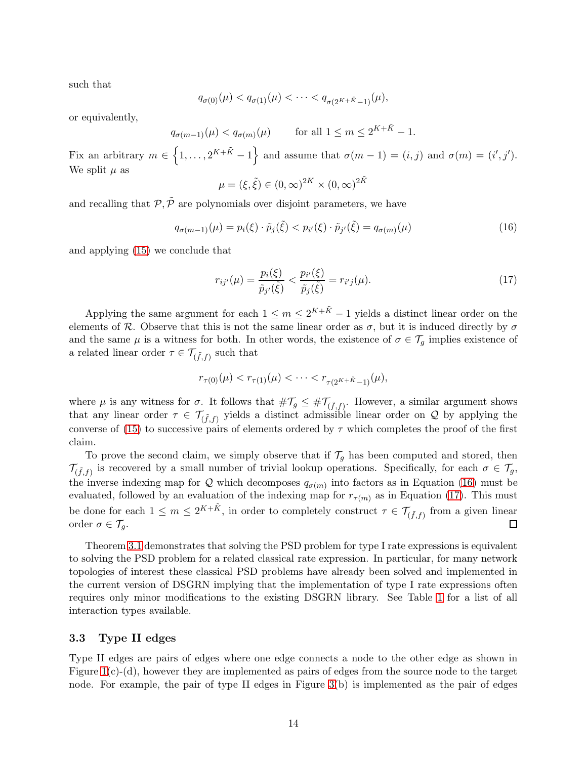such that

$$
q_{\sigma(0)}(\mu) < q_{\sigma(1)}(\mu) < \cdots < q_{\sigma(2^{K+\tilde{K}}-1)}(\mu),
$$

or equivalently,

$$
q_{\sigma(m-1)}(\mu) < q_{\sigma(m)}(\mu) \qquad \text{for all } 1 \le m \le 2^{K+\tilde{K}} - 1.
$$

Fix an arbitrary  $m \in \{1, \ldots, 2^{K+\tilde{K}}-1\}$  and assume that  $\sigma(m-1) = (i, j)$  and  $\sigma(m) = (i', j')$ . We split  $\mu$  as

$$
\mu = (\xi, \tilde{\xi}) \in (0, \infty)^{2K} \times (0, \infty)^{2\tilde{K}}
$$

and recalling that  $\mathcal{P}, \tilde{\mathcal{P}}$  are polynomials over disjoint parameters, we have

<span id="page-13-0"></span>
$$
q_{\sigma(m-1)}(\mu) = p_i(\xi) \cdot \tilde{p}_j(\tilde{\xi}) < p_{i'}(\xi) \cdot \tilde{p}_{j'}(\tilde{\xi}) = q_{\sigma(m)}(\mu) \tag{16}
$$

and applying [\(15\)](#page-12-0) we conclude that

<span id="page-13-1"></span>
$$
r_{ij'}(\mu) = \frac{p_i(\xi)}{\tilde{p}_{j'}(\tilde{\xi})} < \frac{p_{i'}(\xi)}{\tilde{p}_j(\tilde{\xi})} = r_{i'j}(\mu). \tag{17}
$$

Applying the same argument for each  $1 \leq m \leq 2^{K+\tilde{K}}-1$  yields a distinct linear order on the elements of R. Observe that this is not the same linear order as  $\sigma$ , but it is induced directly by  $\sigma$ and the same  $\mu$  is a witness for both. In other words, the existence of  $\sigma \in \mathcal{T}_g$  implies existence of a related linear order  $\tau \in \mathcal{T}_{(\tilde{f},f)}$  such that

$$
r_{\tau(0)}(\mu) < r_{\tau(1)}(\mu) < \cdots < r_{\tau(2^{K+\tilde{K}}-1)}(\mu),
$$

where  $\mu$  is any witness for  $\sigma$ . It follows that  $\#\mathcal{T}_g \leq \#\mathcal{T}_{(\tilde{f},f)}$ . However, a similar argument shows that any linear order  $\tau \in \mathcal{T}_{(\tilde{f},f)}$  yields a distinct admissible linear order on Q by applying the converse of [\(15\)](#page-12-0) to successive pairs of elements ordered by  $\tau$  which completes the proof of the first claim.

To prove the second claim, we simply observe that if  $\mathcal{T}_g$  has been computed and stored, then  $\mathcal{T}_{(\tilde{f},f)}$  is recovered by a small number of trivial lookup operations. Specifically, for each  $\sigma \in \mathcal{T}_g$ , the inverse indexing map for Q which decomposes  $q_{\sigma(m)}$  into factors as in Equation [\(16\)](#page-13-0) must be evaluated, followed by an evaluation of the indexing map for  $r_{\tau(m)}$  as in Equation [\(17\)](#page-13-1). This must be done for each  $1 \leq m \leq 2^{K+\tilde{K}}$ , in order to completely construct  $\tau \in \mathcal{T}_{(\tilde{f},f)}$  from a given linear order  $\sigma \in \mathcal{T}_g$ .  $\Box$ 

Theorem [3.1](#page-11-0) demonstrates that solving the PSD problem for type I rate expressions is equivalent to solving the PSD problem for a related classical rate expression. In particular, for many network topologies of interest these classical PSD problems have already been solved and implemented in the current version of DSGRN implying that the implementation of type I rate expressions often requires only minor modifications to the existing DSGRN library. See Table [1](#page-14-0) for a list of all interaction types available.

### <span id="page-13-2"></span>3.3 Type II edges

Type II edges are pairs of edges where one edge connects a node to the other edge as shown in Figure [1\(](#page-3-1)c)-(d), however they are implemented as pairs of edges from the source node to the target node. For example, the pair of type II edges in Figure [3\(](#page-17-0)b) is implemented as the pair of edges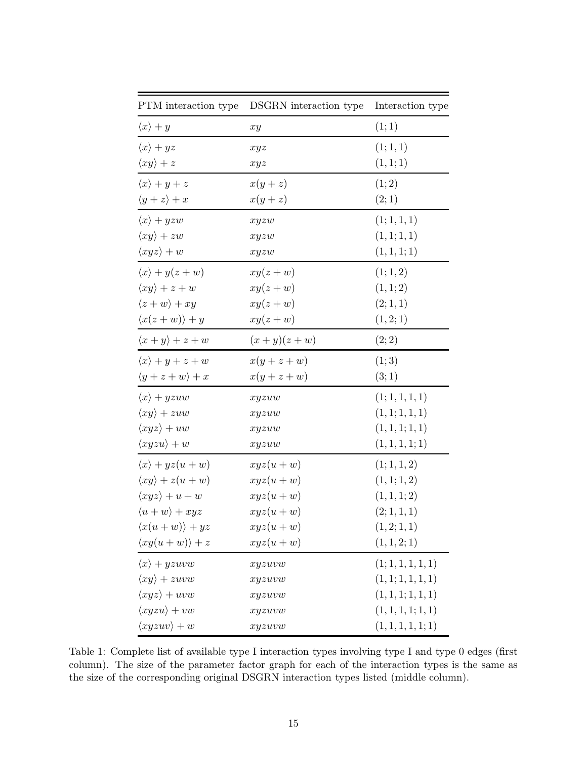| PTM interaction type            | DSGRN interaction type | Interaction type   |  |
|---------------------------------|------------------------|--------------------|--|
| $\langle x \rangle + y$         | xy                     | (1; 1)             |  |
| $\langle x \rangle + yz$        | xyz                    | (1; 1, 1)          |  |
| $\langle xy \rangle + z$        | xyz                    | (1,1;1)            |  |
| $\langle x \rangle + y + z$     | $x(y+z)$               | (1; 2)             |  |
| $\langle y+z\rangle + x$        | $x(y+z)$               | (2;1)              |  |
| $\langle x \rangle + yzw$       | xyzw                   | (1; 1, 1, 1)       |  |
| $\langle xy \rangle + zw$       | xyzw                   | (1,1;1,1)          |  |
| $\langle xyz \rangle + w$       | xyzw                   | (1, 1, 1; 1)       |  |
| $\langle x \rangle + y(z+w)$    | $xy(z+w)$              | (1; 1, 2)          |  |
| $\langle xy \rangle + z + w$    | $xy(z+w)$              | (1, 1; 2)          |  |
| $\langle z+w\rangle+xy$         | $xy(z+w)$              | (2; 1, 1)          |  |
| $\langle x(z+w)\rangle + y$     | $xy(z+w)$              | (1, 2; 1)          |  |
| $\langle x+y \rangle + z + w$   | $(x+y)(z+w)$           | (2; 2)             |  |
| $\langle x \rangle + y + z + w$ | $x(y+z+w)$             | (1; 3)             |  |
| $\langle y+z+w\rangle + x$      | $x(y+z+w)$             | (3;1)              |  |
| $\langle x \rangle + yzuw$      | xyzuw                  | (1; 1, 1, 1, 1)    |  |
| $\langle xy \rangle + zuw$      | xyzuw                  | (1,1;1,1,1)        |  |
| $\langle xyz \rangle + uw$      | xyzuw                  | (1, 1, 1; 1, 1)    |  |
| $\langle xyzu\rangle + w$       | xyzuw                  | (1, 1, 1, 1; 1)    |  |
| $\langle x \rangle + yz(u+w)$   | $xyz(u+w)$             | (1; 1, 1, 2)       |  |
| $\langle xy \rangle + z(u+w)$   | $xyz(u+w)$             | (1, 1; 1, 2)       |  |
| $\langle xyz \rangle + u + w$   | $xyz(u+w)$             | (1,1,1;2)          |  |
| $\langle u+w\rangle + xyz$      | $xyz(u+w)$             | (2; 1, 1, 1)       |  |
| $\langle x(u+w)\rangle + yz$    | $xyz(u+w)$             | (1, 2; 1, 1)       |  |
| $\langle xy(u+w)\rangle + z$    | $xyz(u+w)$             | (1, 1, 2; 1)       |  |
| $\langle x \rangle + yzuvw$     | xyzuvw                 | (1; 1, 1, 1, 1, 1) |  |
| $\langle xy \rangle + zuvw$     | xyzuvw                 | (1,1;1,1,1,1)      |  |
| $\langle xyz \rangle + uvw$     | xyzuvw                 | (1, 1, 1; 1, 1, 1) |  |
| $\langle xyzu\rangle + vw$      | xyzuvw                 | (1, 1, 1, 1; 1, 1) |  |
| $\langle xyzuv \rangle + w$     | xyzuvw                 | (1, 1, 1, 1, 1; 1) |  |

<span id="page-14-0"></span>Table 1: Complete list of available type I interaction types involving type I and type 0 edges (first column). The size of the parameter factor graph for each of the interaction types is the same as the size of the corresponding original DSGRN interaction types listed (middle column).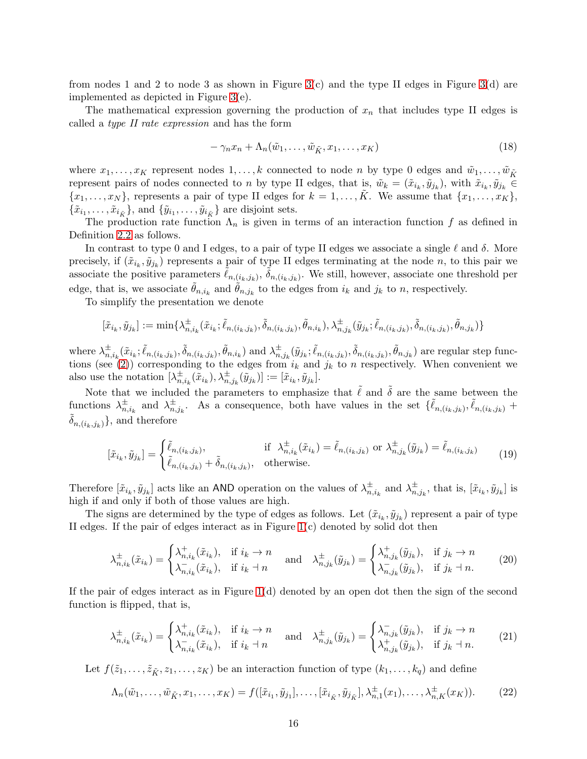from nodes 1 and 2 to node 3 as shown in Figure  $3(c)$  and the type II edges in Figure  $3(d)$  are implemented as depicted in Figure [3\(](#page-17-0)e).

The mathematical expression governing the production of  $x_n$  that includes type II edges is called a type II rate expression and has the form

<span id="page-15-0"></span>
$$
-\gamma_n x_n + \Lambda_n(\tilde{w}_1, \dots, \tilde{w}_{\tilde{K}}, x_1, \dots, x_K)
$$
\n(18)

where  $x_1, \ldots, x_K$  represent nodes  $1, \ldots, k$  connected to node n by type 0 edges and  $\tilde{w}_1, \ldots, \tilde{w}_{\tilde{K}}$ represent pairs of nodes connected to n by type II edges, that is,  $\tilde{w}_k = (\tilde{x}_{i_k}, \tilde{y}_{j_k})$ , with  $\tilde{x}_{i_k}, \tilde{y}_{j_k} \in$  ${x_1, \ldots, x_N}$ , represents a pair of type II edges for  $k = 1, \ldots, K$ . We assume that  ${x_1, \ldots, x_K}$ ,  $\{\tilde{x}_{i_1}, \ldots, \tilde{x}_{i_{\tilde{K}}}\}\$ , and  $\{\tilde{y}_{i_1}, \ldots, \tilde{y}_{i_{\tilde{K}}}\}\$  are disjoint sets.

The production rate function  $\Lambda_n$  is given in terms of an interaction function f as defined in Definition [2.2](#page-5-0) as follows.

In contrast to type 0 and I edges, to a pair of type II edges we associate a single  $\ell$  and  $\delta$ . More precisely, if  $(\tilde{x}_{i_k}, \tilde{y}_{j_k})$  represents a pair of type II edges terminating at the node n, to this pair we associate the positive parameters  $\tilde{\ell}_{n,(i_k,j_k)}$ ,  $\tilde{\delta}_{n,(i_k,j_k)}$ . We still, however, associate one threshold per edge, that is, we associate  $\tilde{\theta}_{n,i_k}$  and  $\tilde{\theta}_{n,j_k}$  to the edges from  $i_k$  and  $j_k$  to n, respectively.

To simplify the presentation we denote

$$
[\tilde{x}_{i_k}, \tilde{y}_{j_k}] := \min\{\lambda_{n,i_k}^{\pm}(\tilde{x}_{i_k}; \tilde{\ell}_{n,(i_k,j_k)}, \tilde{\delta}_{n,(i_k,j_k)}, \tilde{\theta}_{n,i_k}), \lambda_{n,j_k}^{\pm}(\tilde{y}_{j_k}; \tilde{\ell}_{n,(i_k,j_k)}, \tilde{\delta}_{n,(i_k,j_k)}, \tilde{\theta}_{n,j_k})\}
$$

where  $\lambda_n^{\pm}$  $^{\pm}_{n,i_k}(\tilde{x}_{i_k};\tilde{\ell}_{n,(i_k,j_k)},\tilde{\delta}_{n,(i_k,j_k)},\tilde{\theta}_{n,i_k})$  and  $\lambda^{\pm}_{n_k}$  $^{\pm}_{n,j_k}(\tilde{y}_{j_k}; \tilde{\ell}_{n,(i_k,j_k)}, \tilde{\delta}_{n,(i_k,j_k)}, \tilde{\theta}_{n,j_k})$  are regular step func-tions (see [\(2\)](#page-4-4)) corresponding to the edges from  $i_k$  and  $j_k$  to n respectively. When convenient we also use the notation  $\lambda_n^{\pm}$  $_{n,i_{k}}^{\pm}(\tilde{\tilde{x}}_{i_{k}}),\lambda_{n,j_{k}}^{\pm}(\tilde{y}_{j_{k}})]=[\tilde{x}_{i_{k}},\tilde{y}_{j_{k}}].$ 

Note that we included the parameters to emphasize that  $\tilde{\ell}$  and  $\tilde{\delta}$  are the same between the functions  $\lambda_n^{\pm}$  $_{n,i_k}^{\pm}$  and  $\lambda_{n_k}^{\pm}$  $\pm_{n,j_k}$ . As a consequence, both have values in the set  $\{\tilde{\ell}_{n,(i_k,j_k)},\tilde{\ell}_{n,(i_k,j_k)}\}$  $\{\delta_{n,(i_k,j_k)}\}$ , and therefore

$$
[\tilde{x}_{i_k}, \tilde{y}_{j_k}] = \begin{cases} \tilde{\ell}_{n,(i_k,j_k)}, & \text{if } \lambda_{n,i_k}^{\pm}(\tilde{x}_{i_k}) = \tilde{\ell}_{n,(i_k,j_k)} \text{ or } \lambda_{n,j_k}^{\pm}(\tilde{y}_{j_k}) = \tilde{\ell}_{n,(i_k,j_k)} \\ \tilde{\ell}_{n,(i_k,j_k)} + \tilde{\delta}_{n,(i_k,j_k)}, & \text{otherwise.} \end{cases}
$$
(19)

Therefore  $[\tilde{x}_{i_k}, \tilde{y}_{j_k}]$  acts like an AND operation on the values of  $\lambda_{n_k}^{\pm}$  $_{n,i_k}^{\pm}$  and  $\lambda_{n_k}^{\pm}$  $_{n,j_k}^{\pm}$ , that is,  $[\tilde{x}_{i_k}, \tilde{y}_{j_k}]$  is high if and only if both of those values are high.

The signs are determined by the type of edges as follows. Let  $(\tilde{x}_{i_k}, \tilde{y}_{j_k})$  represent a pair of type II edges. If the pair of edges interact as in Figure [1\(](#page-3-1)c) denoted by solid dot then

<span id="page-15-2"></span>
$$
\lambda_{n,i_k}^{\pm}(\tilde{x}_{i_k}) = \begin{cases} \lambda_{n,i_k}^+(\tilde{x}_{i_k}), & \text{if } i_k \to n \\ \lambda_{n,i_k}^-(\tilde{x}_{i_k}), & \text{if } i_k \to n \end{cases} \quad \text{and} \quad \lambda_{n,j_k}^{\pm}(\tilde{y}_{j_k}) = \begin{cases} \lambda_{n,j_k}^+(\tilde{y}_{j_k}), & \text{if } j_k \to n \\ \lambda_{n,j_k}^-(\tilde{y}_{j_k}), & \text{if } j_k \to n. \end{cases} \tag{20}
$$

If the pair of edges interact as in Figure  $1(d)$  denoted by an open dot then the sign of the second function is flipped, that is,

<span id="page-15-3"></span>
$$
\lambda_{n,i_k}^{\pm}(\tilde{x}_{i_k}) = \begin{cases} \lambda_{n,i_k}^+(\tilde{x}_{i_k}), & \text{if } i_k \to n \\ \lambda_{n,i_k}^-(\tilde{x}_{i_k}), & \text{if } i_k \to n \end{cases} \quad \text{and} \quad \lambda_{n,j_k}^{\pm}(\tilde{y}_{j_k}) = \begin{cases} \lambda_{n,j_k}^-(\tilde{y}_{j_k}), & \text{if } j_k \to n \\ \lambda_{n,j_k}^+(\tilde{y}_{j_k}), & \text{if } j_k \to n. \end{cases} \tag{21}
$$

Let  $f(\tilde{z}_1,\ldots,\tilde{z}_{\tilde{K}},z_1,\ldots,z_K)$  be an interaction function of type  $(k_1,\ldots,k_q)$  and define

<span id="page-15-1"></span>
$$
\Lambda_n(\tilde{w}_1, \dots, \tilde{w}_{\tilde{K}}, x_1, \dots, x_K) = f([\tilde{x}_{i_1}, \tilde{y}_{j_1}], \dots, [\tilde{x}_{i_{\tilde{K}}}, \tilde{y}_{j_{\tilde{K}}}], \lambda_{n,1}^{\pm}(x_1), \dots, \lambda_{n,K}^{\pm}(x_K)).
$$
 (22)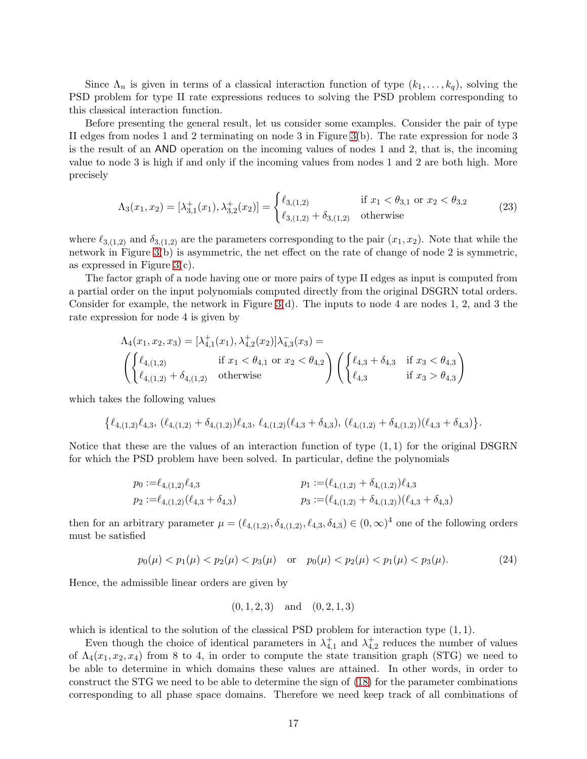Since  $\Lambda_n$  is given in terms of a classical interaction function of type  $(k_1, \ldots, k_q)$ , solving the PSD problem for type II rate expressions reduces to solving the PSD problem corresponding to this classical interaction function.

Before presenting the general result, let us consider some examples. Consider the pair of type II edges from nodes 1 and 2 terminating on node 3 in Figure [3\(](#page-17-0)b). The rate expression for node 3 is the result of an AND operation on the incoming values of nodes 1 and 2, that is, the incoming value to node 3 is high if and only if the incoming values from nodes 1 and 2 are both high. More precisely

<span id="page-16-1"></span>
$$
\Lambda_3(x_1, x_2) = [\lambda_{3,1}^+(x_1), \lambda_{3,2}^+(x_2)] = \begin{cases} \ell_{3,(1,2)} & \text{if } x_1 < \theta_{3,1} \text{ or } x_2 < \theta_{3,2} \\ \ell_{3,(1,2)} + \delta_{3,(1,2)} & \text{otherwise} \end{cases}
$$
(23)

where  $\ell_{3,(1,2)}$  and  $\delta_{3,(1,2)}$  are the parameters corresponding to the pair  $(x_1, x_2)$ . Note that while the network in Figure [3\(](#page-17-0)b) is asymmetric, the net effect on the rate of change of node 2 is symmetric, as expressed in Figure  $3(c)$ .

The factor graph of a node having one or more pairs of type II edges as input is computed from a partial order on the input polynomials computed directly from the original DSGRN total orders. Consider for example, the network in Figure  $3(d)$ . The inputs to node 4 are nodes 1, 2, and 3 the rate expression for node 4 is given by

$$
\begin{aligned} &\Lambda_4(x_1,x_2,x_3)=[\lambda_{4,1}^+(x_1),\lambda_{4,2}^+(x_2)]\lambda_{4,3}^-(x_3)= \\ &\left(\begin{cases}\ell_{4,(1,2)} & \text{if } x_1<\theta_{4,1} \text{ or } x_2<\theta_{4,2}\\ \ell_{4,(1,2)}+\delta_{4,(1,2)} & \text{otherwise}\end{cases}\right)\left(\begin{cases}\ell_{4,3}+\delta_{4,3} & \text{if } x_3<\theta_{4,3}\\ \ell_{4,3} & \text{if } x_3>\theta_{4,3}\end{cases}\right) \end{aligned}
$$

which takes the following values

$$
\{\ell_{4,(1,2)}\ell_{4,3}, (\ell_{4,(1,2)}+\delta_{4,(1,2)})\ell_{4,3}, \ell_{4,(1,2)}(\ell_{4,3}+\delta_{4,3}), (\ell_{4,(1,2)}+\delta_{4,(1,2)})\ell_{4,3}+\delta_{4,3})\}.
$$

Notice that these are the values of an interaction function of type  $(1, 1)$  for the original DSGRN for which the PSD problem have been solved. In particular, define the polynomials

$$
p_0 := \ell_{4,(1,2)} \ell_{4,3}
$$
  
\n
$$
p_1 := (\ell_{4,(1,2)} + \delta_{4,(1,2)}) \ell_{4,3}
$$
  
\n
$$
p_2 := \ell_{4,(1,2)} (\ell_{4,3} + \delta_{4,3})
$$
  
\n
$$
p_3 := (\ell_{4,(1,2)} + \delta_{4,(1,2)}) (\ell_{4,3} + \delta_{4,3})
$$

then for an arbitrary parameter  $\mu = (\ell_{4,(1,2)}, \delta_{4,(1,2)}, \ell_{4,3}, \delta_{4,3}) \in (0,\infty)^4$  one of the following orders must be satisfied

<span id="page-16-0"></span>
$$
p_0(\mu) < p_1(\mu) < p_2(\mu) < p_3(\mu) \quad \text{or} \quad p_0(\mu) < p_2(\mu) < p_1(\mu) < p_3(\mu). \tag{24}
$$

Hence, the admissible linear orders are given by

$$
(0, 1, 2, 3)
$$
 and  $(0, 2, 1, 3)$ 

which is identical to the solution of the classical PSD problem for interaction type  $(1, 1)$ .

Even though the choice of identical parameters in  $\lambda_{4,1}^+$  and  $\lambda_{4,2}^+$  reduces the number of values of  $\Lambda_4(x_1, x_2, x_4)$  from 8 to 4, in order to compute the state transition graph (STG) we need to be able to determine in which domains these values are attained. In other words, in order to construct the STG we need to be able to determine the sign of [\(18\)](#page-15-0) for the parameter combinations corresponding to all phase space domains. Therefore we need keep track of all combinations of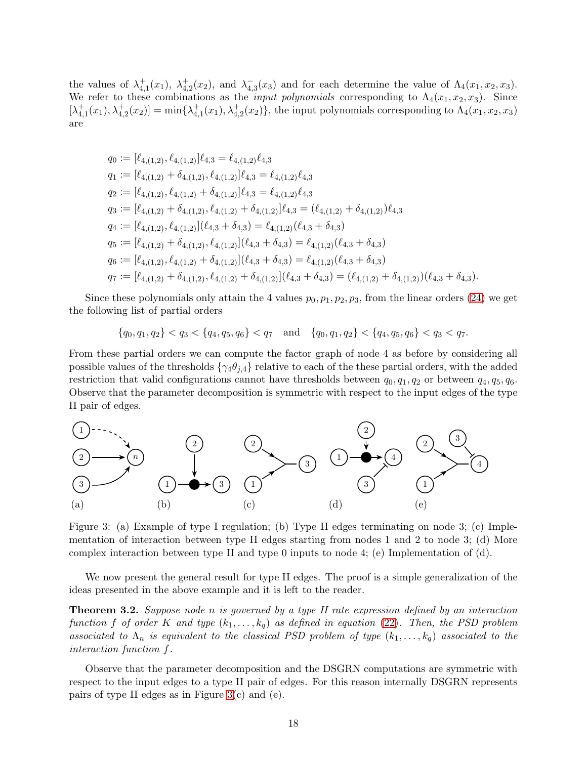the values of  $\lambda_{4,1}^+(x_1)$ ,  $\lambda_{4,2}^+(x_2)$ , and  $\lambda_{4,2}^ \overline{4,3}(x_3)$  and for each determine the value of  $\Lambda_4(x_1, x_2, x_3)$ . We refer to these combinations as the *input polynomials* corresponding to  $\Lambda_4(x_1, x_2, x_3)$ . Since  $[\lambda_{4,1}^+(x_1), \lambda_{4,2}^+(x_2)] = \min{\{\lambda_{4,1}^+(x_1), \lambda_{4,2}^+(x_2)\}}$ , the input polynomials corresponding to  $\Lambda_4(x_1, x_2, x_3)$ are

$$
q_0 := [\ell_{4,(1,2)}, \ell_{4,(1,2)}] \ell_{4,3} = \ell_{4,(1,2)} \ell_{4,3}
$$
  
\n
$$
q_1 := [\ell_{4,(1,2)} + \delta_{4,(1,2)}, \ell_{4,(1,2)}] \ell_{4,3} = \ell_{4,(1,2)} \ell_{4,3}
$$
  
\n
$$
q_2 := [\ell_{4,(1,2)}, \ell_{4,(1,2)} + \delta_{4,(1,2)}] \ell_{4,3} = \ell_{4,(1,2)} \ell_{4,3}
$$
  
\n
$$
q_3 := [\ell_{4,(1,2)} + \delta_{4,(1,2)}, \ell_{4,(1,2)} + \delta_{4,(1,2)}] \ell_{4,3} = (\ell_{4,(1,2)} + \delta_{4,(1,2)}) \ell_{4,3}
$$
  
\n
$$
q_4 := [\ell_{4,(1,2)}, \ell_{4,(1,2)}] (\ell_{4,3} + \delta_{4,3}) = \ell_{4,(1,2)} (\ell_{4,3} + \delta_{4,3})
$$
  
\n
$$
q_5 := [\ell_{4,(1,2)} + \delta_{4,(1,2)}, \ell_{4,(1,2)}] (\ell_{4,3} + \delta_{4,3}) = \ell_{4,(1,2)} (\ell_{4,3} + \delta_{4,3})
$$
  
\n
$$
q_6 := [\ell_{4,(1,2)}, \ell_{4,(1,2)} + \delta_{4,(1,2)}] (\ell_{4,3} + \delta_{4,3}) = \ell_{4,(1,2)} (\ell_{4,3} + \delta_{4,3})
$$
  
\n
$$
q_7 := [\ell_{4,(1,2)} + \delta_{4,(1,2)}, \ell_{4,(1,2)} + \delta_{4,(1,2)}] (\ell_{4,3} + \delta_{4,3}) = (\ell_{4,(1,2)} + \delta_{4,(1,2)}) (\ell_{4,3} + \delta_{4,3}).
$$

Since these polynomials only attain the 4 values  $p_0, p_1, p_2, p_3$ , from the linear orders [\(24\)](#page-16-0) we get the following list of partial orders

$$
\{q_0, q_1, q_2\} < q_3 < \{q_4, q_5, q_6\} < q_7 \quad \text{and} \quad \{q_0, q_1, q_2\} < \{q_4, q_5, q_6\} < q_3 < q_7.
$$

From these partial orders we can compute the factor graph of node 4 as before by considering all possible values of the thresholds  $\{\gamma_4\theta_{j,4}\}\$  relative to each of the these partial orders, with the added restriction that valid configurations cannot have thresholds between  $q_0, q_1, q_2$  or between  $q_4, q_5, q_6$ . Observe that the parameter decomposition is symmetric with respect to the input edges of the type II pair of edges.



<span id="page-17-0"></span>Figure 3: (a) Example of type I regulation; (b) Type II edges terminating on node 3; (c) Implementation of interaction between type II edges starting from nodes 1 and 2 to node 3; (d) More complex interaction between type II and type 0 inputs to node 4; (e) Implementation of (d).

We now present the general result for type II edges. The proof is a simple generalization of the ideas presented in the above example and it is left to the reader.

Theorem 3.2. Suppose node n is governed by a type II rate expression defined by an interaction function f of order K and type  $(k_1, \ldots, k_q)$  as defined in equation [\(22\)](#page-15-1). Then, the PSD problem associated to  $\Lambda_n$  is equivalent to the classical PSD problem of type  $(k_1, \ldots, k_q)$  associated to the interaction function f.

Observe that the parameter decomposition and the DSGRN computations are symmetric with respect to the input edges to a type II pair of edges. For this reason internally DSGRN represents pairs of type II edges as in Figure [3\(](#page-17-0)c) and (e).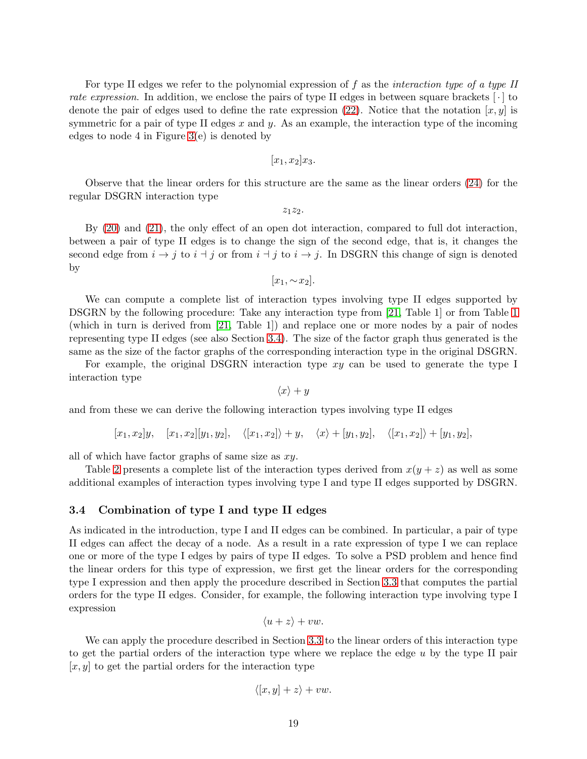For type II edges we refer to the polynomial expression of  $f$  as the *interaction type of a type II* rate expression. In addition, we enclose the pairs of type II edges in between square brackets  $\lceil \cdot \rceil$  to denote the pair of edges used to define the rate expression [\(22\)](#page-15-1). Notice that the notation  $[x, y]$  is symmetric for a pair of type II edges x and y. As an example, the interaction type of the incoming edges to node 4 in Figure [3\(](#page-17-0)e) is denoted by

$$
[x_1, x_2]x_3.
$$

Observe that the linear orders for this structure are the same as the linear orders [\(24\)](#page-16-0) for the regular DSGRN interaction type

 $z_1z_2.$ 

By [\(20\)](#page-15-2) and [\(21\)](#page-15-3), the only effect of an open dot interaction, compared to full dot interaction, between a pair of type II edges is to change the sign of the second edge, that is, it changes the second edge from  $i \rightarrow j$  to  $i + j$  or from  $i + j$  to  $i \rightarrow j$ . In DSGRN this change of sign is denoted by

$$
[x_1, \sim x_2].
$$

We can compute a complete list of interaction types involving type II edges supported by DSGRN by the following procedure: Take any interaction type from [\[21,](#page-29-3) Table 1] or from Table [1](#page-14-0) (which in turn is derived from [\[21,](#page-29-3) Table 1]) and replace one or more nodes by a pair of nodes representing type II edges (see also Section [3.4\)](#page-18-0). The size of the factor graph thus generated is the same as the size of the factor graphs of the corresponding interaction type in the original DSGRN.

For example, the original DSGRN interaction type xy can be used to generate the type I interaction type

 $\langle x \rangle + y$ 

and from these we can derive the following interaction types involving type II edges

$$
[x_1, x_2]y
$$
,  $[x_1, x_2][y_1, y_2]$ ,  $\langle [x_1, x_2] \rangle + y$ ,  $\langle x \rangle + [y_1, y_2]$ ,  $\langle [x_1, x_2] \rangle + [y_1, y_2]$ ,

all of which have factor graphs of same size as  $xy$ .

Table [2](#page-19-0) presents a complete list of the interaction types derived from  $x(y + z)$  as well as some additional examples of interaction types involving type I and type II edges supported by DSGRN.

### <span id="page-18-0"></span>3.4 Combination of type I and type II edges

As indicated in the introduction, type I and II edges can be combined. In particular, a pair of type II edges can affect the decay of a node. As a result in a rate expression of type I we can replace one or more of the type I edges by pairs of type II edges. To solve a PSD problem and hence find the linear orders for this type of expression, we first get the linear orders for the corresponding type I expression and then apply the procedure described in Section [3.3](#page-13-2) that computes the partial orders for the type II edges. Consider, for example, the following interaction type involving type I expression

$$
\langle u+z\rangle +vw.
$$

We can apply the procedure described in Section [3.3](#page-13-2) to the linear orders of this interaction type to get the partial orders of the interaction type where we replace the edge  $u$  by the type II pair  $[x, y]$  to get the partial orders for the interaction type

$$
\langle [x, y] + z \rangle + vw.
$$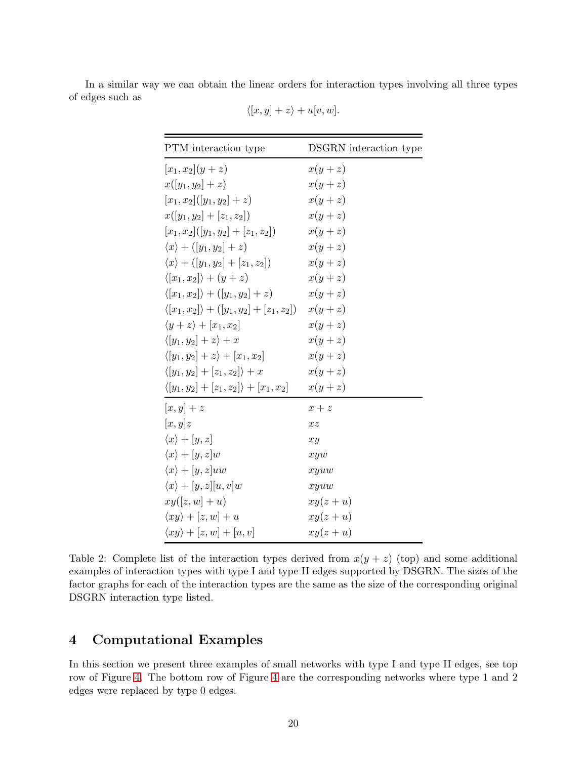In a similar way we can obtain the linear orders for interaction types involving all three types of edges such as

| PTM interaction type                                     | DSGRN interaction type |
|----------------------------------------------------------|------------------------|
| $[x_1, x_2](y + z)$                                      | $x(y+z)$               |
| $x([y_1, y_2] + z)$                                      | $x(y+z)$               |
| $[x_1, x_2]$ $([y_1, y_2] + z)$                          | $x(y+z)$               |
| $x([y_1, y_2] + [z_1, z_2])$                             | $x(y+z)$               |
| $[x_1, x_2]$ $([y_1, y_2] + [z_1, z_2])$                 | $x(y+z)$               |
| $\langle x \rangle + ([y_1, y_2] + z)$                   | $x(y+z)$               |
| $\langle x \rangle + ([y_1, y_2] + [z_1, z_2])$          | $x(y+z)$               |
| $\langle [x_1, x_2] \rangle + (y + z)$                   | $x(y+z)$               |
| $\langle [x_1, x_2] \rangle + ([y_1, y_2] + z)$          | $x(y+z)$               |
| $\langle [x_1, x_2] \rangle + ([y_1, y_2] + [z_1, z_2])$ | $x(y+z)$               |
| $\langle y+z\rangle + [x_1,x_2]$                         | $x(y+z)$               |
| $\langle [y_1, y_2] + z \rangle + x$                     | $x(y+z)$               |
| $\langle [y_1, y_2] + z \rangle + [x_1, x_2]$            | $x(y+z)$               |
| $\langle [y_1, y_2] + [z_1, z_2] \rangle + x$            | $x(y+z)$               |
| $\langle [y_1, y_2] + [z_1, z_2] \rangle + [x_1, x_2]$   | $x(y+z)$               |
| $[x, y] + z$                                             | $x + z$                |
| [x, y]z                                                  | xz                     |
| $\langle x \rangle + [y, z]$                             | xy                     |
| $\langle x \rangle + [y, z]w$                            | xyw                    |
| $\langle x \rangle + [y, z]uw$                           | xyuw                   |
| $\langle x \rangle + [y, z][u, v]w$                      | xyuw                   |
| $xy([z,w]+u)$                                            | $xy(z+u)$              |
| $\langle xy \rangle + [z, w] + u$                        | $xy(z+u)$              |
| $\langle xy \rangle + [z, w] + [u, v]$                   | $xy(z+u)$              |

 $\langle [x, y] + z \rangle + u[v, w].$ 

<span id="page-19-0"></span>Table 2: Complete list of the interaction types derived from  $x(y + z)$  (top) and some additional examples of interaction types with type I and type II edges supported by DSGRN. The sizes of the factor graphs for each of the interaction types are the same as the size of the corresponding original DSGRN interaction type listed.

# <span id="page-19-1"></span>4 Computational Examples

In this section we present three examples of small networks with type I and type II edges, see top row of Figure [4.](#page-20-0) The bottom row of Figure [4](#page-20-0) are the corresponding networks where type 1 and 2 edges were replaced by type 0 edges.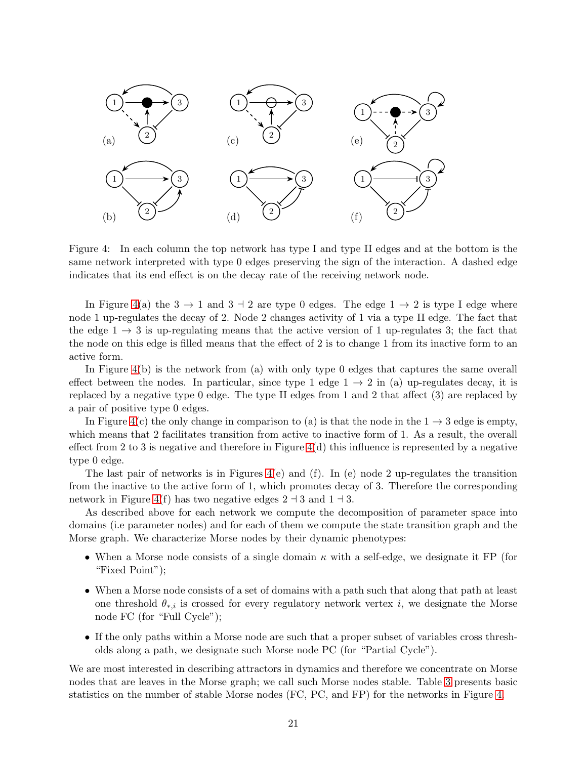

<span id="page-20-0"></span>Figure 4: In each column the top network has type I and type II edges and at the bottom is the same network interpreted with type 0 edges preserving the sign of the interaction. A dashed edge indicates that its end effect is on the decay rate of the receiving network node.

In Figure [4\(](#page-20-0)a) the  $3 \rightarrow 1$  and  $3 \rightarrow 2$  are type 0 edges. The edge  $1 \rightarrow 2$  is type I edge where node 1 up-regulates the decay of 2. Node 2 changes activity of 1 via a type II edge. The fact that the edge  $1 \rightarrow 3$  is up-regulating means that the active version of 1 up-regulates 3; the fact that the node on this edge is filled means that the effect of 2 is to change 1 from its inactive form to an active form.

In Figure [4\(](#page-20-0)b) is the network from (a) with only type 0 edges that captures the same overall effect between the nodes. In particular, since type 1 edge  $1 \rightarrow 2$  in (a) up-regulates decay, it is replaced by a negative type 0 edge. The type II edges from 1 and 2 that affect (3) are replaced by a pair of positive type 0 edges.

In Figure [4\(](#page-20-0)c) the only change in comparison to (a) is that the node in the  $1 \rightarrow 3$  edge is empty, which means that 2 facilitates transition from active to inactive form of 1. As a result, the overall effect from 2 to 3 is negative and therefore in Figure  $4(d)$  this influence is represented by a negative type 0 edge.

The last pair of networks is in Figures  $4(e)$  and  $(f)$ . In  $(e)$  node 2 up-regulates the transition from the inactive to the active form of 1, which promotes decay of 3. Therefore the corresponding network in Figure [4\(](#page-20-0)f) has two negative edges  $2 \text{--} 3$  and  $1 \text{--} 3$ .

As described above for each network we compute the decomposition of parameter space into domains (i.e parameter nodes) and for each of them we compute the state transition graph and the Morse graph. We characterize Morse nodes by their dynamic phenotypes:

- When a Morse node consists of a single domain  $\kappa$  with a self-edge, we designate it FP (for "Fixed Point");
- When a Morse node consists of a set of domains with a path such that along that path at least one threshold  $\theta_{*,i}$  is crossed for every regulatory network vertex i, we designate the Morse node FC (for "Full Cycle");
- If the only paths within a Morse node are such that a proper subset of variables cross thresholds along a path, we designate such Morse node PC (for "Partial Cycle").

We are most interested in describing attractors in dynamics and therefore we concentrate on Morse nodes that are leaves in the Morse graph; we call such Morse nodes stable. Table [3](#page-21-0) presents basic statistics on the number of stable Morse nodes (FC, PC, and FP) for the networks in Figure [4.](#page-20-0)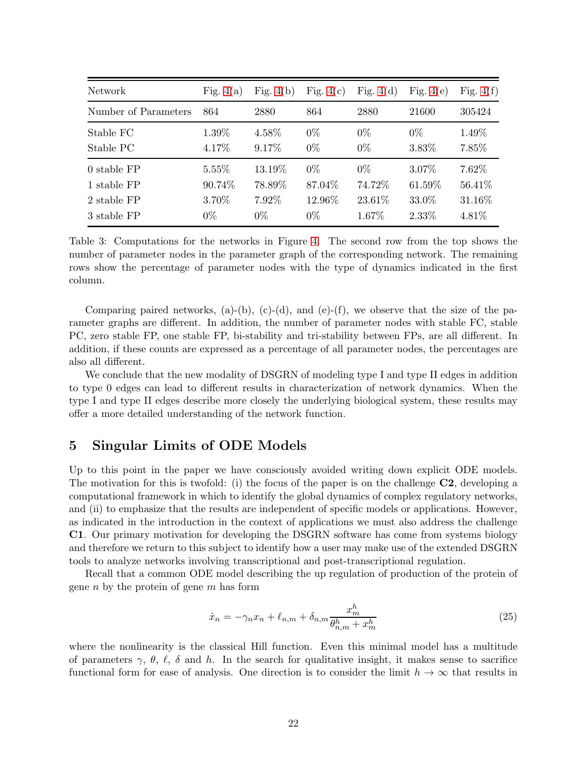| Network              | Fig. $4(a)$ | Fig. $4(b)$ | Fig. $4(c)$ | Fig. $4(d)$ | Fig. $4(e)$ | Fig. $4(f)$ |
|----------------------|-------------|-------------|-------------|-------------|-------------|-------------|
| Number of Parameters | 864         | 2880        | 864         | 2880        | 21600       | 305424      |
| Stable FC            | 1.39%       | 4.58%       | $0\%$       | $0\%$       | $0\%$       | 1.49%       |
| Stable PC            | 4.17%       | 9.17\%      | $0\%$       | $0\%$       | 3.83%       | 7.85%       |
| 0 stable FP          | $5.55\%$    | 13.19%      | $0\%$       | $0\%$       | 3.07%       | 7.62%       |
| 1 stable FP          | 90.74%      | 78.89%      | 87.04%      | 74.72%      | 61.59%      | 56.41%      |
| 2 stable FP          | 3.70%       | 7.92%       | 12.96%      | 23.61%      | 33.0%       | 31.16%      |
| 3 stable FP          | $0\%$       | $0\%$       | $0\%$       | $1.67\%$    | 2.33%       | 4.81\%      |

<span id="page-21-0"></span>Table 3: Computations for the networks in Figure [4.](#page-20-0) The second row from the top shows the number of parameter nodes in the parameter graph of the corresponding network. The remaining rows show the percentage of parameter nodes with the type of dynamics indicated in the first column.

Comparing paired networks, (a)-(b), (c)-(d), and (e)-(f), we observe that the size of the parameter graphs are different. In addition, the number of parameter nodes with stable FC, stable PC, zero stable FP, one stable FP, bi-stability and tri-stability between FPs, are all different. In addition, if these counts are expressed as a percentage of all parameter nodes, the percentages are also all different.

We conclude that the new modality of DSGRN of modeling type I and type II edges in addition to type 0 edges can lead to different results in characterization of network dynamics. When the type I and type II edges describe more closely the underlying biological system, these results may offer a more detailed understanding of the network function.

### 5 Singular Limits of ODE Models

Up to this point in the paper we have consciously avoided writing down explicit ODE models. The motivation for this is twofold: (i) the focus of the paper is on the challenge C2, developing a computational framework in which to identify the global dynamics of complex regulatory networks, and (ii) to emphasize that the results are independent of specific models or applications. However, as indicated in the introduction in the context of applications we must also address the challenge C1. Our primary motivation for developing the DSGRN software has come from systems biology and therefore we return to this subject to identify how a user may make use of the extended DSGRN tools to analyze networks involving transcriptional and post-transcriptional regulation.

Recall that a common ODE model describing the up regulation of production of the protein of gene  $n$  by the protein of gene  $m$  has form

$$
\dot{x}_n = -\gamma_n x_n + \ell_{n,m} + \delta_{n,m} \frac{x_m^h}{\theta_{n,m}^h + x_m^h} \tag{25}
$$

where the nonlinearity is the classical Hill function. Even this minimal model has a multitude of parameters  $\gamma$ ,  $\theta$ ,  $\ell$ ,  $\delta$  and h. In the search for qualitative insight, it makes sense to sacrifice functional form for ease of analysis. One direction is to consider the limit  $h \to \infty$  that results in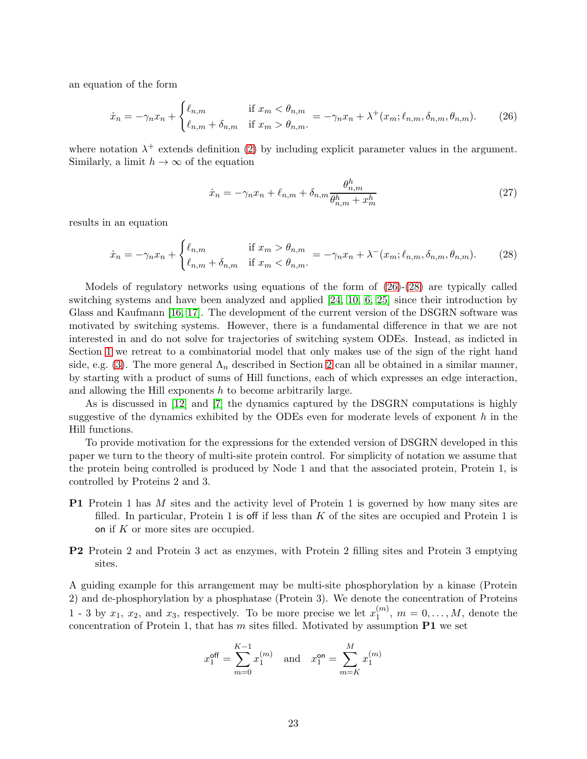an equation of the form

<span id="page-22-0"></span>
$$
\dot{x}_n = -\gamma_n x_n + \begin{cases} \ell_{n,m} & \text{if } x_m < \theta_{n,m} \\ \ell_{n,m} + \delta_{n,m} & \text{if } x_m > \theta_{n,m} \end{cases} = -\gamma_n x_n + \lambda^+(x_m; \ell_{n,m}, \delta_{n,m}, \theta_{n,m}).\tag{26}
$$

where notation  $\lambda^+$  extends definition [\(2\)](#page-4-4) by including explicit parameter values in the argument. Similarly, a limit  $h \to \infty$  of the equation

$$
\dot{x}_n = -\gamma_n x_n + \ell_{n,m} + \delta_{n,m} \frac{\theta_{n,m}^h}{\theta_{n,m}^h + x_m^h} \tag{27}
$$

results in an equation

<span id="page-22-1"></span>
$$
\dot{x}_n = -\gamma_n x_n + \begin{cases} \ell_{n,m} & \text{if } x_m > \theta_{n,m} \\ \ell_{n,m} + \delta_{n,m} & \text{if } x_m < \theta_{n,m} \end{cases} = -\gamma_n x_n + \lambda^-(x_m; \ell_{n,m}, \delta_{n,m}, \theta_{n,m}).\tag{28}
$$

Models of regulatory networks using equations of the form of [\(26\)](#page-22-0)-[\(28\)](#page-22-1) are typically called switching systems and have been analyzed and applied [\[24,](#page-29-4) [10,](#page-28-12) [6,](#page-28-13) [25\]](#page-29-5) since their introduction by Glass and Kaufmann [\[16,](#page-28-14) [17\]](#page-28-15). The development of the current version of the DSGRN software was motivated by switching systems. However, there is a fundamental difference in that we are not interested in and do not solve for trajectories of switching system ODEs. Instead, as indicted in Section [1](#page-0-0) we retreat to a combinatorial model that only makes use of the sign of the right hand side, e.g. [\(3\)](#page-4-5). The more general  $\Lambda_n$  described in Section [2](#page-3-0) can all be obtained in a similar manner, by starting with a product of sums of Hill functions, each of which expresses an edge interaction, and allowing the Hill exponents  $h$  to become arbitrarily large.

As is discussed in [\[12\]](#page-28-3) and [\[7\]](#page-28-5) the dynamics captured by the DSGRN computations is highly suggestive of the dynamics exhibited by the ODEs even for moderate levels of exponent  $h$  in the Hill functions.

To provide motivation for the expressions for the extended version of DSGRN developed in this paper we turn to the theory of multi-site protein control. For simplicity of notation we assume that the protein being controlled is produced by Node 1 and that the associated protein, Protein 1, is controlled by Proteins 2 and 3.

- **P1** Protein 1 has M sites and the activity level of Protein 1 is governed by how many sites are filled. In particular, Protein 1 is off if less than  $K$  of the sites are occupied and Protein 1 is on if  $K$  or more sites are occupied.
- P2 Protein 2 and Protein 3 act as enzymes, with Protein 2 filling sites and Protein 3 emptying sites.

A guiding example for this arrangement may be multi-site phosphorylation by a kinase (Protein 2) and de-phosphorylation by a phosphatase (Protein 3). We denote the concentration of Proteins 1 - 3 by  $x_1, x_2$ , and  $x_3$ , respectively. To be more precise we let  $x_1^{(m)}$  $1^{(m)}$ ,  $m = 0, ..., M$ , denote the concentration of Protein 1, that has  $m$  sites filled. Motivated by assumption  $P1$  we set

$$
x_1^{\text{off}} = \sum_{m=0}^{K-1} x_1^{(m)}
$$
 and  $x_1^{\text{on}} = \sum_{m=K}^{M} x_1^{(m)}$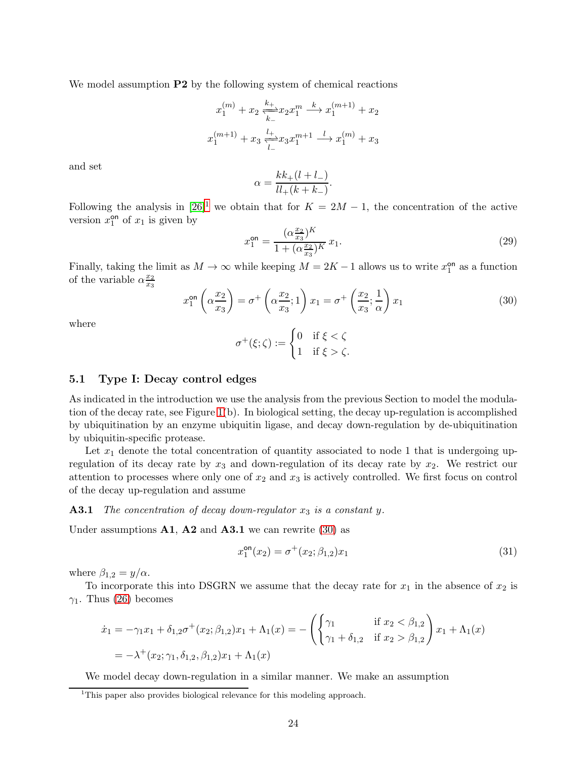We model assumption **P2** by the following system of chemical reactions

$$
x_1^{(m)} + x_2 \xleftarrow[k \to \infty]{k_+} x_2 x_1^m \xrightarrow{k} x_1^{(m+1)} + x_2
$$
  

$$
x_1^{(m+1)} + x_3 \xleftarrow[l \to \infty]{l_+} x_3 x_1^{m+1} \xrightarrow{l} x_1^{(m)} + x_3
$$

and set

$$
\alpha = \frac{kk_+(l+l_-)}{ll_+(k+k_-)}.
$$

Following the analysis in  $[26]$ <sup>[1](#page-23-0)</sup> we obtain that for  $K = 2M - 1$ , the concentration of the active version  $x_1^{\text{on}}$  $_{1}^{\mathsf{on}}$  of  $x_1$  is given by

$$
x_1^{\text{on}} = \frac{(\alpha \frac{x_2}{x_3})^K}{1 + (\alpha \frac{x_2}{x_3})^K} x_1.
$$
 (29)

Finally, taking the limit as  $M \to \infty$  while keeping  $M = 2K - 1$  allows us to write  $x_1^{\text{on}}$  $_1^{\text{on}}$  as a function of the variable  $\alpha \frac{x_2}{x_2}$  $\overline{x_3}$ 

<span id="page-23-1"></span>
$$
x_1^{\text{on}}\left(\alpha \frac{x_2}{x_3}\right) = \sigma^+ \left(\alpha \frac{x_2}{x_3}; 1\right) x_1 = \sigma^+ \left(\frac{x_2}{x_3}; \frac{1}{\alpha}\right) x_1 \tag{30}
$$

where

$$
\sigma^+(\xi;\zeta):=\begin{cases}0&\text{if }\xi<\zeta\\1&\text{if }\xi>\zeta.\end{cases}
$$

### 5.1 Type I: Decay control edges

As indicated in the introduction we use the analysis from the previous Section to model the modulation of the decay rate, see Figure [1\(](#page-3-1)b). In biological setting, the decay up-regulation is accomplished by ubiquitination by an enzyme ubiquitin ligase, and decay down-regulation by de-ubiquitination by ubiquitin-specific protease.

Let  $x_1$  denote the total concentration of quantity associated to node 1 that is undergoing upregulation of its decay rate by  $x_3$  and down-regulation of its decay rate by  $x_2$ . We restrict our attention to processes where only one of  $x_2$  and  $x_3$  is actively controlled. We first focus on control of the decay up-regulation and assume

#### **A3.1** The concentration of decay down-regulator  $x_3$  is a constant y.

Under assumptions  $A1$ ,  $A2$  and  $A3.1$  we can rewrite [\(30\)](#page-23-1) as

$$
x_1^{\text{on}}(x_2) = \sigma^+(x_2; \beta_{1,2})x_1 \tag{31}
$$

where  $\beta_{1,2} = y/\alpha$ .

To incorporate this into DSGRN we assume that the decay rate for  $x_1$  in the absence of  $x_2$  is  $\gamma_1$ . Thus [\(26\)](#page-22-0) becomes

$$
\dot{x}_1 = -\gamma_1 x_1 + \delta_{1,2}\sigma^+(x_2; \beta_{1,2})x_1 + \Lambda_1(x) = -\left(\begin{cases} \gamma_1 & \text{if } x_2 < \beta_{1,2} \\ \gamma_1 + \delta_{1,2} & \text{if } x_2 > \beta_{1,2} \end{cases}\right)x_1 + \Lambda_1(x)
$$
  
=  $-\lambda^+(x_2; \gamma_1, \delta_{1,2}, \beta_{1,2})x_1 + \Lambda_1(x)$ 

We model decay down-regulation in a similar manner. We make an assumption

<span id="page-23-0"></span><sup>&</sup>lt;sup>1</sup>This paper also provides biological relevance for this modeling approach.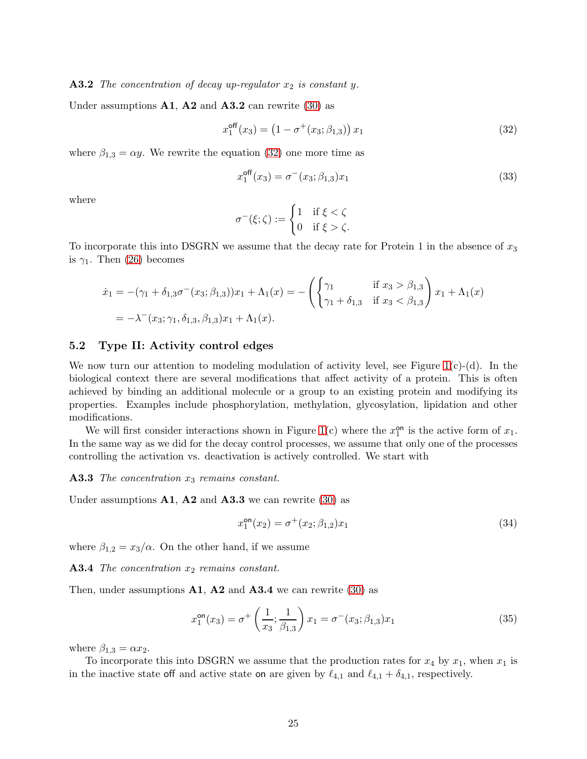**A3.2** The concentration of decay up-regulator  $x_2$  is constant y.

Under assumptions  $A1$ ,  $A2$  and  $A3.2$  can rewrite [\(30\)](#page-23-1) as

<span id="page-24-0"></span>
$$
x_1^{\text{off}}(x_3) = (1 - \sigma^+(x_3; \beta_{1,3})) x_1 \tag{32}
$$

where  $\beta_{1,3} = \alpha y$ . We rewrite the equation [\(32\)](#page-24-0) one more time as

$$
x_1^{\text{off}}(x_3) = \sigma^-(x_3; \beta_{1,3})x_1 \tag{33}
$$

where

$$
\sigma^-(\xi;\zeta) := \begin{cases} 1 & \text{if } \xi < \zeta \\ 0 & \text{if } \xi > \zeta. \end{cases}
$$

To incorporate this into DSGRN we assume that the decay rate for Protein 1 in the absence of  $x_3$ is  $\gamma_1$ . Then [\(26\)](#page-22-0) becomes

$$
\dot{x}_1 = -(\gamma_1 + \delta_{1,3}\sigma^-(x_3;\beta_{1,3}))x_1 + \Lambda_1(x) = -\left(\begin{cases} \gamma_1 & \text{if } x_3 > \beta_{1,3} \\ \gamma_1 + \delta_{1,3} & \text{if } x_3 < \beta_{1,3} \end{cases}\right)x_1 + \Lambda_1(x)
$$

$$
= -\lambda^-(x_3;\gamma_1, \delta_{1,3}, \beta_{1,3})x_1 + \Lambda_1(x).
$$

#### 5.2 Type II: Activity control edges

We now turn our attention to modeling modulation of activity level, see Figure  $1(c)$ -(d). In the biological context there are several modifications that affect activity of a protein. This is often achieved by binding an additional molecule or a group to an existing protein and modifying its properties. Examples include phosphorylation, methylation, glycosylation, lipidation and other modifications.

We will first consider interactions shown in Figure [1\(](#page-3-1)c) where the  $x_1^{\text{on}}$  $_{1}^{\text{on}}$  is the active form of  $x_1$ . In the same way as we did for the decay control processes, we assume that only one of the processes controlling the activation vs. deactivation is actively controlled. We start with

#### **A3.3** The concentration  $x_3$  remains constant.

Under assumptions  $A1$ ,  $A2$  and  $A3.3$  we can rewrite [\(30\)](#page-23-1) as

$$
x_1^{\text{on}}(x_2) = \sigma^+(x_2; \beta_{1,2})x_1 \tag{34}
$$

where  $\beta_{1,2} = x_3/\alpha$ . On the other hand, if we assume

**A3.4** The concentration  $x_2$  remains constant.

Then, under assumptions  $A1$ ,  $A2$  and  $A3.4$  we can rewrite [\(30\)](#page-23-1) as

$$
x_1^{\text{on}}(x_3) = \sigma^+ \left(\frac{1}{x_3}; \frac{1}{\beta_{1,3}}\right) x_1 = \sigma^-(x_3; \beta_{1,3}) x_1 \tag{35}
$$

where  $\beta_{1,3} = \alpha x_2$ .

To incorporate this into DSGRN we assume that the production rates for  $x_4$  by  $x_1$ , when  $x_1$  is in the inactive state off and active state on are given by  $\ell_{4,1}$  and  $\ell_{4,1} + \delta_{4,1}$ , respectively.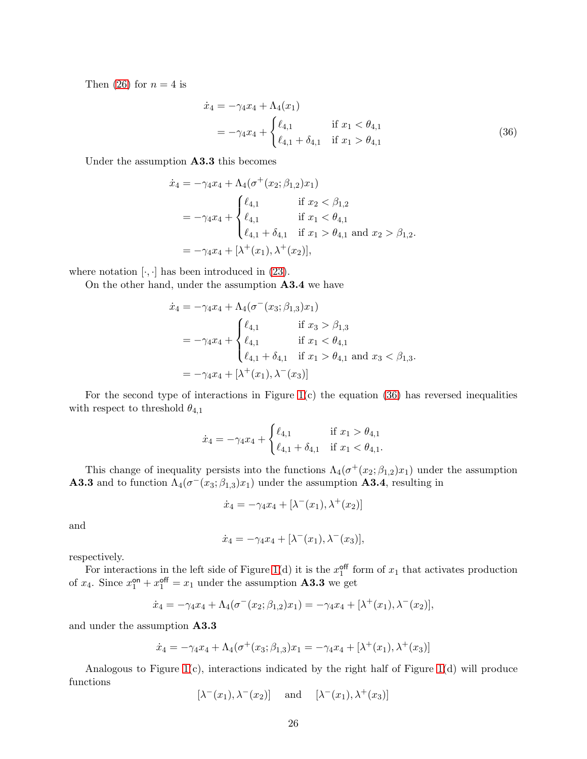Then [\(26\)](#page-22-0) for  $n = 4$  is

<span id="page-25-0"></span>
$$
\dot{x}_4 = -\gamma_4 x_4 + \Lambda_4(x_1) \n= -\gamma_4 x_4 + \begin{cases} \ell_{4,1} & \text{if } x_1 < \theta_{4,1} \\ \ell_{4,1} + \delta_{4,1} & \text{if } x_1 > \theta_{4,1} \end{cases}
$$
\n(36)

Under the assumption A3.3 this becomes

$$
\dot{x}_4 = -\gamma_4 x_4 + \Lambda_4 (\sigma^+(x_2; \beta_{1,2}) x_1)
$$
\n
$$
= -\gamma_4 x_4 + \begin{cases} \ell_{4,1} & \text{if } x_2 < \beta_{1,2} \\ \ell_{4,1} & \text{if } x_1 < \theta_{4,1} \\ \ell_{4,1} + \delta_{4,1} & \text{if } x_1 > \theta_{4,1} \text{ and } x_2 > \beta_{1,2}. \end{cases}
$$
\n
$$
= -\gamma_4 x_4 + [\lambda^+(x_1), \lambda^+(x_2)],
$$

where notation  $[\cdot, \cdot]$  has been introduced in [\(23\)](#page-16-1).

On the other hand, under the assumption A3.4 we have

$$
\dot{x}_4 = -\gamma_4 x_4 + \Lambda_4 (\sigma^-(x_3; \beta_{1,3}) x_1)
$$
\n
$$
= -\gamma_4 x_4 + \begin{cases} \ell_{4,1} & \text{if } x_3 > \beta_{1,3} \\ \ell_{4,1} & \text{if } x_1 < \theta_{4,1} \\ \ell_{4,1} + \delta_{4,1} & \text{if } x_1 > \theta_{4,1} \text{ and } x_3 < \beta_{1,3}. \end{cases}
$$
\n
$$
= -\gamma_4 x_4 + [\lambda^+(x_1), \lambda^-(x_3)]
$$

For the second type of interactions in Figure  $1(c)$  the equation  $(36)$  has reversed inequalities with respect to threshold  $\theta_{4,1}$ 

$$
\dot{x}_4 = -\gamma_4 x_4 + \begin{cases} \ell_{4,1} & \text{if } x_1 > \theta_{4,1} \\ \ell_{4,1} + \delta_{4,1} & \text{if } x_1 < \theta_{4,1}. \end{cases}
$$

This change of inequality persists into the functions  $\Lambda_4(\sigma^+(x_2;\beta_{1,2})x_1)$  under the assumption **A3.3** and to function  $\Lambda_4(\sigma^-(x_3;\beta_{1,3})x_1)$  under the assumption **A3.4**, resulting in

$$
\dot{x}_4 = -\gamma_4 x_4 + [\lambda^-(x_1), \lambda^+(x_2)]
$$

and

$$
\dot{x}_4 = -\gamma_4 x_4 + [\lambda^-(x_1), \lambda^-(x_3)],
$$

respectively.

For interactions in the left side of Figure [1\(](#page-3-1)d) it is the  $x_1^{\text{off}}$  $_1^{\text{off}}$  form of  $x_1$  that activates production of  $x_4$ . Since  $x_1^{\text{on}} + x_1^{\text{off}} = x_1$  under the assumption **A3.3** we get

$$
\dot{x}_4 = -\gamma_4 x_4 + \Lambda_4(\sigma^-(x_2; \beta_{1,2})x_1) = -\gamma_4 x_4 + [\lambda^+(x_1), \lambda^-(x_2)],
$$

and under the assumption A3.3

$$
\dot{x}_4 = -\gamma_4 x_4 + \Lambda_4(\sigma^+(x_3; \beta_{1,3})x_1 = -\gamma_4 x_4 + [\lambda^+(x_1), \lambda^+(x_3)]
$$

Analogous to Figure [1\(](#page-3-1)c), interactions indicated by the right half of Figure [1\(](#page-3-1)d) will produce functions

 $[\lambda^-(x_1), \lambda^-(x_2)]$  and  $[\lambda^-(x_1), \lambda^+(x_3)]$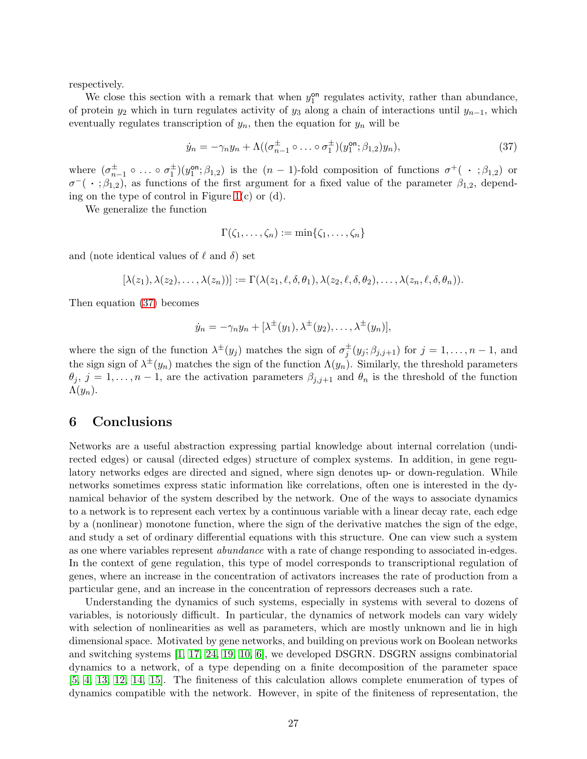respectively.

We close this section with a remark that when  $y_1^{\text{on}}$ <sup>on</sup> regulates activity, rather than abundance, of protein  $y_2$  which in turn regulates activity of  $y_3$  along a chain of interactions until  $y_{n-1}$ , which eventually regulates transcription of  $y_n$ , then the equation for  $y_n$  will be

<span id="page-26-0"></span>
$$
\dot{y}_n = -\gamma_n y_n + \Lambda \left( (\sigma_{n-1}^{\pm} \circ \ldots \circ \sigma_1^{\pm}) (y_1^{\text{on}}; \beta_{1,2}) y_n \right), \tag{37}
$$

where  $(\sigma_{n-1}^{\pm} \circ \ldots \circ \sigma_1^{\pm})$  $rac{\pm}{1}$ ) $(y_1^{\text{on}})$  $\mathcal{P}_1^{on}$ ;  $\beta_{1,2}$ ) is the  $(n-1)$ -fold composition of functions  $\sigma^+$  ( · ;  $\beta_{1,2}$ ) or  $\sigma^-(\cdot;\beta_{1,2})$ , as functions of the first argument for a fixed value of the parameter  $\beta_{1,2}$ , depending on the type of control in Figure  $1(c)$  or  $(d)$ .

We generalize the function

$$
\Gamma(\zeta_1,\ldots,\zeta_n):=\min\{\zeta_1,\ldots,\zeta_n\}
$$

and (note identical values of  $\ell$  and  $\delta$ ) set

 $[\lambda(z_1), \lambda(z_2), \ldots, \lambda(z_n))] := \Gamma(\lambda(z_1, \ell, \delta, \theta_1), \lambda(z_2, \ell, \delta, \theta_2), \ldots, \lambda(z_n, \ell, \delta, \theta_n)).$ 

Then equation [\(37\)](#page-26-0) becomes

$$
\dot{y}_n = -\gamma_n y_n + [\lambda^{\pm}(y_1), \lambda^{\pm}(y_2), \dots, \lambda^{\pm}(y_n)],
$$

where the sign of the function  $\lambda^{\pm}(y_j)$  matches the sign of  $\sigma_j^{\pm}$  $j^{\pm}(y_j;\beta_{j,j+1})$  for  $j=1,\ldots,n-1$ , and the sign sign of  $\lambda^{\pm}(y_n)$  matches the sign of the function  $\Lambda(y_n)$ . Similarly, the threshold parameters  $\theta_j$ ,  $j = 1, \ldots, n-1$ , are the activation parameters  $\beta_{j,j+1}$  and  $\theta_n$  is the threshold of the function  $\Lambda(y_n)$ .

### 6 Conclusions

Networks are a useful abstraction expressing partial knowledge about internal correlation (undirected edges) or causal (directed edges) structure of complex systems. In addition, in gene regulatory networks edges are directed and signed, where sign denotes up- or down-regulation. While networks sometimes express static information like correlations, often one is interested in the dynamical behavior of the system described by the network. One of the ways to associate dynamics to a network is to represent each vertex by a continuous variable with a linear decay rate, each edge by a (nonlinear) monotone function, where the sign of the derivative matches the sign of the edge, and study a set of ordinary differential equations with this structure. One can view such a system as one where variables represent abundance with a rate of change responding to associated in-edges. In the context of gene regulation, this type of model corresponds to transcriptional regulation of genes, where an increase in the concentration of activators increases the rate of production from a particular gene, and an increase in the concentration of repressors decreases such a rate.

Understanding the dynamics of such systems, especially in systems with several to dozens of variables, is notoriously difficult. In particular, the dynamics of network models can vary widely with selection of nonlinearities as well as parameters, which are mostly unknown and lie in high dimensional space. Motivated by gene networks, and building on previous work on Boolean networks and switching systems [\[1,](#page-27-3) [17,](#page-28-15) [24,](#page-29-4) [19,](#page-28-8) [10,](#page-28-12) [6\]](#page-28-13), we developed DSGRN. DSGRN assigns combinatorial dynamics to a network, of a type depending on a finite decomposition of the parameter space [\[5,](#page-28-1) [4,](#page-27-0) [13,](#page-28-9) [12,](#page-28-3) [14,](#page-28-4) [15\]](#page-28-2). The finiteness of this calculation allows complete enumeration of types of dynamics compatible with the network. However, in spite of the finiteness of representation, the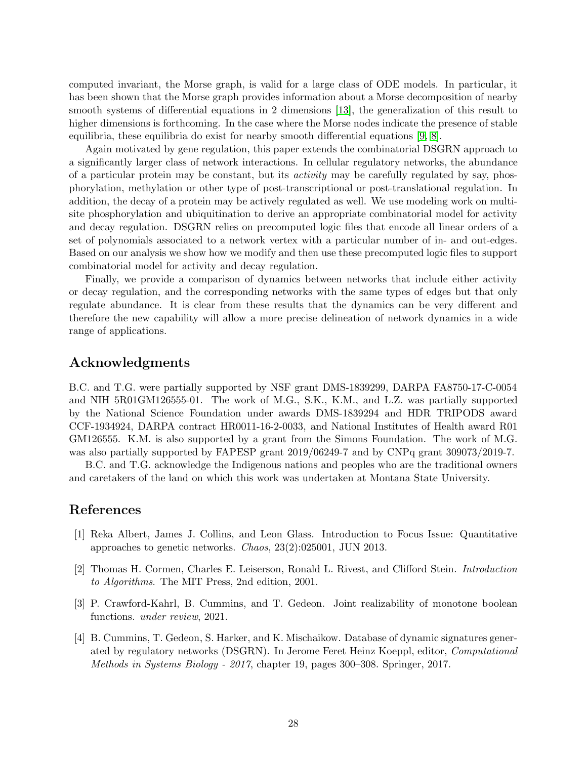computed invariant, the Morse graph, is valid for a large class of ODE models. In particular, it has been shown that the Morse graph provides information about a Morse decomposition of nearby smooth systems of differential equations in 2 dimensions [\[13\]](#page-28-9), the generalization of this result to higher dimensions is forthcoming. In the case where the Morse nodes indicate the presence of stable equilibria, these equilibria do exist for nearby smooth differential equations [\[9,](#page-28-10) [8\]](#page-28-11).

Again motivated by gene regulation, this paper extends the combinatorial DSGRN approach to a significantly larger class of network interactions. In cellular regulatory networks, the abundance of a particular protein may be constant, but its activity may be carefully regulated by say, phosphorylation, methylation or other type of post-transcriptional or post-translational regulation. In addition, the decay of a protein may be actively regulated as well. We use modeling work on multisite phosphorylation and ubiquitination to derive an appropriate combinatorial model for activity and decay regulation. DSGRN relies on precomputed logic files that encode all linear orders of a set of polynomials associated to a network vertex with a particular number of in- and out-edges. Based on our analysis we show how we modify and then use these precomputed logic files to support combinatorial model for activity and decay regulation.

Finally, we provide a comparison of dynamics between networks that include either activity or decay regulation, and the corresponding networks with the same types of edges but that only regulate abundance. It is clear from these results that the dynamics can be very different and therefore the new capability will allow a more precise delineation of network dynamics in a wide range of applications.

# Acknowledgments

B.C. and T.G. were partially supported by NSF grant DMS-1839299, DARPA FA8750-17-C-0054 and NIH 5R01GM126555-01. The work of M.G., S.K., K.M., and L.Z. was partially supported by the National Science Foundation under awards DMS-1839294 and HDR TRIPODS award CCF-1934924, DARPA contract HR0011-16-2-0033, and National Institutes of Health award R01 GM126555. K.M. is also supported by a grant from the Simons Foundation. The work of M.G. was also partially supported by FAPESP grant 2019/06249-7 and by CNPq grant 309073/2019-7.

B.C. and T.G. acknowledge the Indigenous nations and peoples who are the traditional owners and caretakers of the land on which this work was undertaken at Montana State University.

# <span id="page-27-3"></span>References

- [1] Reka Albert, James J. Collins, and Leon Glass. Introduction to Focus Issue: Quantitative approaches to genetic networks. Chaos, 23(2):025001, JUN 2013.
- <span id="page-27-2"></span>[2] Thomas H. Cormen, Charles E. Leiserson, Ronald L. Rivest, and Clifford Stein. Introduction to Algorithms. The MIT Press, 2nd edition, 2001.
- <span id="page-27-1"></span>[3] P. Crawford-Kahrl, B. Cummins, and T. Gedeon. Joint realizability of monotone boolean functions. under review, 2021.
- <span id="page-27-0"></span>[4] B. Cummins, T. Gedeon, S. Harker, and K. Mischaikow. Database of dynamic signatures generated by regulatory networks (DSGRN). In Jerome Feret Heinz Koeppl, editor, Computational Methods in Systems Biology - 2017, chapter 19, pages 300–308. Springer, 2017.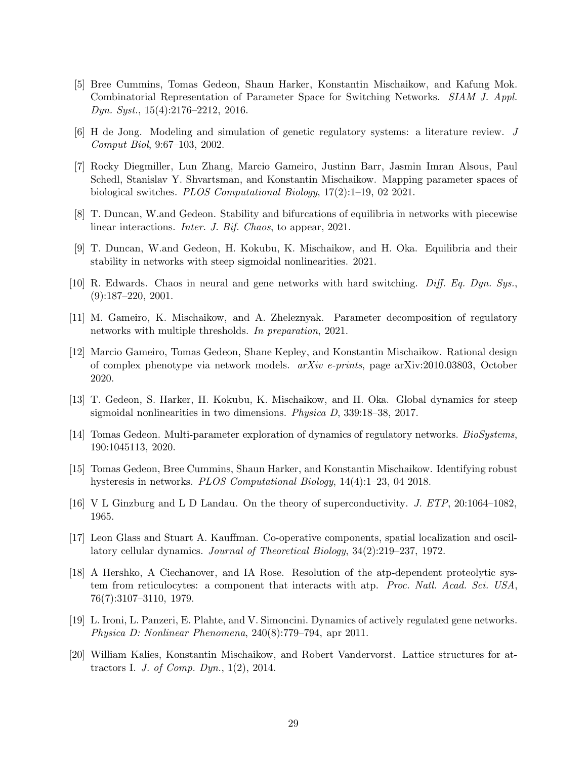- <span id="page-28-1"></span>[5] Bree Cummins, Tomas Gedeon, Shaun Harker, Konstantin Mischaikow, and Kafung Mok. Combinatorial Representation of Parameter Space for Switching Networks. SIAM J. Appl. Dyn. Syst., 15(4):2176–2212, 2016.
- <span id="page-28-13"></span><span id="page-28-5"></span>[6] H de Jong. Modeling and simulation of genetic regulatory systems: a literature review. J Comput Biol, 9:67–103, 2002.
- [7] Rocky Diegmiller, Lun Zhang, Marcio Gameiro, Justinn Barr, Jasmin Imran Alsous, Paul Schedl, Stanislav Y. Shvartsman, and Konstantin Mischaikow. Mapping parameter spaces of biological switches. PLOS Computational Biology, 17(2):1–19, 02 2021.
- <span id="page-28-11"></span><span id="page-28-10"></span>[8] T. Duncan, W.and Gedeon. Stability and bifurcations of equilibria in networks with piecewise linear interactions. Inter. J. Bif. Chaos, to appear, 2021.
- <span id="page-28-12"></span>[9] T. Duncan, W.and Gedeon, H. Kokubu, K. Mischaikow, and H. Oka. Equilibria and their stability in networks with steep sigmoidal nonlinearities. 2021.
- <span id="page-28-7"></span>[10] R. Edwards. Chaos in neural and gene networks with hard switching. Diff. Eq. Dyn. Sys.,  $(9):187-220, 2001.$
- <span id="page-28-3"></span>[11] M. Gameiro, K. Mischaikow, and A. Zheleznyak. Parameter decomposition of regulatory networks with multiple thresholds. In preparation, 2021.
- [12] Marcio Gameiro, Tomas Gedeon, Shane Kepley, and Konstantin Mischaikow. Rational design of complex phenotype via network models. arXiv e-prints, page arXiv:2010.03803, October 2020.
- <span id="page-28-9"></span>[13] T. Gedeon, S. Harker, H. Kokubu, K. Mischaikow, and H. Oka. Global dynamics for steep sigmoidal nonlinearities in two dimensions. Physica D, 339:18–38, 2017.
- <span id="page-28-4"></span>[14] Tomas Gedeon. Multi-parameter exploration of dynamics of regulatory networks. BioSystems, 190:1045113, 2020.
- <span id="page-28-2"></span>[15] Tomas Gedeon, Bree Cummins, Shaun Harker, and Konstantin Mischaikow. Identifying robust hysteresis in networks. PLOS Computational Biology, 14(4):1–23, 04 2018.
- <span id="page-28-15"></span><span id="page-28-14"></span>[16] V L Ginzburg and L D Landau. On the theory of superconductivity. J. ETP, 20:1064–1082, 1965.
- [17] Leon Glass and Stuart A. Kauffman. Co-operative components, spatial localization and oscillatory cellular dynamics. Journal of Theoretical Biology, 34(2):219–237, 1972.
- <span id="page-28-6"></span>[18] A Hershko, A Ciechanover, and IA Rose. Resolution of the atp-dependent proteolytic system from reticulocytes: a component that interacts with atp. Proc. Natl. Acad. Sci. USA, 76(7):3107–3110, 1979.
- <span id="page-28-8"></span>[19] L. Ironi, L. Panzeri, E. Plahte, and V. Simoncini. Dynamics of actively regulated gene networks. Physica D: Nonlinear Phenomena, 240(8):779–794, apr 2011.
- <span id="page-28-0"></span>[20] William Kalies, Konstantin Mischaikow, and Robert Vandervorst. Lattice structures for attractors I. J. of Comp. Dyn.,  $1(2)$ ,  $2014$ .